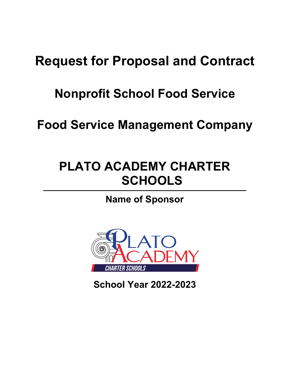# **Request for Proposal and Contract**

## **Nonprofit School Food Service**

**Food Service Management Company**

# **PLATO ACADEMY CHARTER SCHOOLS**

## **Name of Sponsor**



**School Year 2022-2023**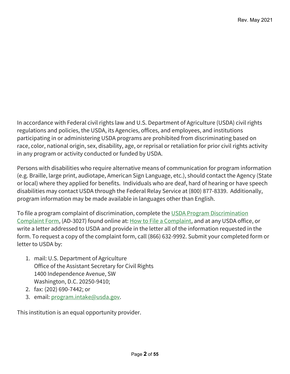In accordance with Federal civil rights law and U.S. Department of Agriculture (USDA) civil rights regulations and policies, the USDA, its Agencies, offices, and employees, and institutions participating in or administering USDA programs are prohibited from discriminating based on race, color, national origin, sex, disability, age, or reprisal or retaliation for prior civil rights activity in any program or activity conducted or funded by USDA.

Persons with disabilities who require alternative means of communication for program information (e.g. Braille, large print, audiotape, American Sign Language, etc.), should contact the Agency (State or local) where they applied for benefits. Individuals who are deaf, hard of hearing or have speech disabilities may contact USDA through the Federal Relay Service at (800) 877-8339. Additionally, program information may be made available in languages other than English.

To file a program complaint of discrimination, complete the USDA Program Discrimination [Complaint Form,](https://www.usda.gov/sites/default/files/documents/USDA-OASCR%20P-Complaint-Form-0508-0002-508-11-28-17Fax2Mail.pdf) (AD-3027) found online at: [How to File a Complaint,](https://www.usda.gov/oascr/how-to-file-a-program-discrimination-complaint) and at any USDA office, or write a letter addressed to USDA and provide in the letter all of the information requested in the form. To request a copy of the complaint form, call (866) 632-9992. Submit your completed form or letter to USDA by:

- 1. mail: U.S. Department of Agriculture Office of the Assistant Secretary for Civil Rights 1400 Independence Avenue, SW Washington, D.C. 20250-9410;
- 2. fax: (202) 690-7442; or
- 3. email: [program.intake@usda.gov.](mailto:program.intake@usda.gov)

This institution is an equal opportunity provider.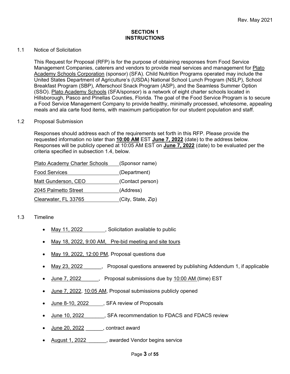#### **SECTION 1 INSTRUCTIONS**

#### 1.1 Notice of Solicitation

This Request for Proposal (RFP) is for the purpose of obtaining responses from Food Service Management Companies, caterers and vendors to provide meal services and management for Plato Academy Schools Corporation (sponsor) (SFA). Child Nutrition Programs operated may include the United States Department of Agriculture's (USDA) National School Lunch Program (NSLP), School Breakfast Program (SBP), Afterschool Snack Program (ASP), and the Seamless Summer Option (SSO). Plato Academy Schools (SFA/sponsor) is a network of eight charter schools located in Hillsborough, Pasco and Pinellas Counties, Florida. The goal of the Food Service Program is to secure a Food Service Management Company to provide healthy, minimally processed, wholesome, appealing meals and ala carte food items, with maximum participation for our student population and staff.

#### 1.2 Proposal Submission

Responses should address each of the requirements set forth in this RFP. Please provide the requested information no later than **10:00 AM** EST **June 7, 2022** (date) to the address below. Responses will be publicly opened at 10:05 AM EST on **June 7, 2022** (date) to be evaluated per the criteria specified in subsection 1.4, below.

| <b>Plato Academy Charter Schools</b> | (Sponsor name)     |
|--------------------------------------|--------------------|
| <b>Food Services</b>                 | (Department)       |
| Matt Gunderson, CEO                  | (Contact person)   |
| 2045 Palmetto Street                 | (Address)          |
| Clearwater, FL 33765                 | (City, State, Zip) |

#### 1.3 Timeline

- May 11, 2022 , Solicitation available to public
- May 18, 2022, 9:00 AM, Pre-bid meeting and site tours
- May 19, 2022, 12:00 PM, Proposal questions due
- May 23, 2022 Froposal questions answered by publishing Addendum 1, if applicable
- June 7, 2022 Froposal submissions due by 10:00 AM (time) EST
- June 7, 2022, 10:05 AM, Proposal submissions publicly opened
- June 8-10, 2022 , SFA review of Proposals
- June 10, 2022 \_\_\_\_\_\_, SFA recommendation to FDACS and FDACS review
- June 20, 2022 \_\_\_\_\_\_, contract award
- August 1, 2022 \_\_\_\_\_\_, awarded Vendor begins service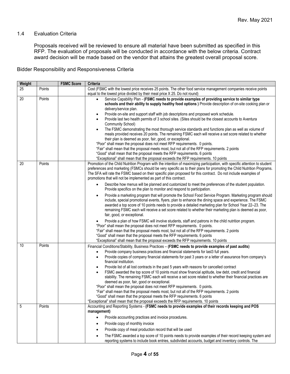#### 1.4 Evaluation Criteria

Proposals received will be reviewed to ensure all material have been submitted as specified in this RFP. The evaluation of proposals will be conducted in accordance with the below criteria. Contract award decision will be made based on the vendor that attains the greatest overall proposal score.

Bidder Responsibility and Responsiveness Criteria

| Weight |        | <b>FSMC Score</b> | <b>Criteria</b>                                                                                                                                                                                                                                                                                                                                                                                                                                                                                                                                                                                                                                                                                                                                                                                                                                                                                                                                                                                                                                                                                                                                                                                                                                                                                                      |
|--------|--------|-------------------|----------------------------------------------------------------------------------------------------------------------------------------------------------------------------------------------------------------------------------------------------------------------------------------------------------------------------------------------------------------------------------------------------------------------------------------------------------------------------------------------------------------------------------------------------------------------------------------------------------------------------------------------------------------------------------------------------------------------------------------------------------------------------------------------------------------------------------------------------------------------------------------------------------------------------------------------------------------------------------------------------------------------------------------------------------------------------------------------------------------------------------------------------------------------------------------------------------------------------------------------------------------------------------------------------------------------|
| 25     | Points |                   | Cost (FSMC with the lowest price receives 25 points. The other food service management companies receive points<br>equal to the lowest price divided by their meal price X 25. Do not round)                                                                                                                                                                                                                                                                                                                                                                                                                                                                                                                                                                                                                                                                                                                                                                                                                                                                                                                                                                                                                                                                                                                         |
| 20     | Points |                   | Service Capability Plan - (FSMC needs to provide examples of providing service to similar type<br>schools and their ability to supply healthy food options ) Provide description of on-site cooking plan or<br>delivery/service plan.<br>Provide on-site and support staff with job descriptions and proposed work schedule.<br>٠<br>Provide last two health permits of 3 school sites. (Sites should be the closest accounts to Aventura<br>$\bullet$<br>Community School)<br>The FSMC demonstrating the most thorough service standards and functions plan as well as volume of<br>meals provided receives 20 points. The remaining FSMC each will receive a set score related to whether<br>their plan is deemed as poor, fair, good, or exceptional.<br>"Poor" shall mean the proposal does not meet RFP requirements. 0 points.<br>"Fair" shall mean that the proposal meets most, but not all of the RFP requirements. 2 points<br>"Good" shall mean that the proposal meets the RFP requirements. 6 points<br>"Exceptional" shall mean that the proposal exceeds the RFP requirements. 10 points                                                                                                                                                                                                              |
| 20     | Points |                   | Promotion of the Child Nutrition Program with the intention of maximizing participation, with specific attention to student<br>preferences and marketing (FSMCs should be very specific as to their plans for promoting the Child Nutrition Programs.<br>The SFA will rate the FSMC based on their specific plan proposed for this contract. Do not include examples of<br>promotions that will not be implemented as part of this contract.<br>Describe how menus will be planned and customized to meet the preferences of the student population.<br>$\bullet$<br>Provide specifics on the plan to monitor and respond to participation.<br>Provide a marketing program that will promote the School Food Service Program. Marketing program should<br>$\bullet$<br>include, special promotional events, flyers, plan to enhance the dining space and experience. The FSMC<br>awarded a top score of 10 points needs to provide a detailed marketing plan for School Year 22-23. The<br>remaining FSMC each will receive a set score related to whether their marketing plan is deemed as poor,<br>fair, good, or exceptional.<br>Provide a plan of how FSMC will involve students, staff and patrons in the child nutrition program.<br>"Poor" shall mean the proposal does not meet RFP requirements. 0 points. |
|        |        |                   | "Fair" shall mean that the proposal meets most, but not all of the RFP requirements. 2 points<br>"Good" shall mean that the proposal meets the RFP requirements. 6 points<br>"Exceptional" shall mean that the proposal exceeds the RFP requirements. 10 points                                                                                                                                                                                                                                                                                                                                                                                                                                                                                                                                                                                                                                                                                                                                                                                                                                                                                                                                                                                                                                                      |
| 10     | Points |                   | Financial Conditions/Stability, Business Practices - (FSMC needs to provide examples of past audits)<br>Provide company business practices and financial statements for last3 full years.<br>$\bullet$<br>Provide copies of company financial statements for past 3 years or a letter of assurance from company's<br>$\bullet$<br>financial institution.<br>Provide list of all lost contracts in the past 5 years with reasons for cancelled contract<br>٠<br>FSMC awarded the top score of 10 points must show financial aptitude, low debt, credit and financial<br>stability. The remaining FSMC each will receive a set score related to whether their financial practices are<br>deemed as poor, fair, good or exceptional.<br>"Poor" shall mean the proposal does not meet RFP requirements. 0 points.<br>"Fair" shall mean that the proposal meets most, but not all of the RFP requirements. 2 points<br>"Good" shall mean that the proposal meets the RFP requirements. 6 points<br>"Exceptional" shall mean that the proposal exceeds the RFP requirements. 10 points                                                                                                                                                                                                                                     |
| 5      | Points |                   | Accounting and Reporting Systems - (FSMC needs to provide examples of their records keeping and POS<br>management)<br>Provide accounting practices and invoice procedures.<br>Provide copy of monthly invoice<br>٠<br>Provide copy of meal production record that will be used<br>$\bullet$<br>The FSMC awarded a top score of 10 points needs to provide examples of their record keeping system and<br>$\bullet$<br>reporting systems to include book entries, subdivided accounts, budget and inventory controls. The                                                                                                                                                                                                                                                                                                                                                                                                                                                                                                                                                                                                                                                                                                                                                                                             |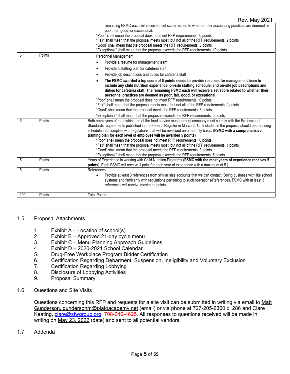#### Rev. May 2021

| 5   | Points | remaining FSMC each will receive a set score related to whether their accounting practices are deemed as<br>poor, fair, good, or exceptional.<br>"Poor" shall mean the proposal does not meet RFP requirements. 0 points.<br>"Fair" shall mean that the proposal meets most, but not all of the RFP requirements. 2 points<br>"Good" shall mean that the proposal meets the RFP requirements. 6 points<br>"Exceptional" shall mean that the proposal exceeds the RFP requirements. 10 points<br>Personnel Management                                                                                                                                                                                                                                                     |
|-----|--------|--------------------------------------------------------------------------------------------------------------------------------------------------------------------------------------------------------------------------------------------------------------------------------------------------------------------------------------------------------------------------------------------------------------------------------------------------------------------------------------------------------------------------------------------------------------------------------------------------------------------------------------------------------------------------------------------------------------------------------------------------------------------------|
|     |        | Provide a resume for management team<br>$\bullet$                                                                                                                                                                                                                                                                                                                                                                                                                                                                                                                                                                                                                                                                                                                        |
|     |        | Provide a staffing plan for cafeteria staff<br>$\bullet$                                                                                                                                                                                                                                                                                                                                                                                                                                                                                                                                                                                                                                                                                                                 |
|     |        | Provide job descriptions and duties for cafeteria staff<br>$\bullet$                                                                                                                                                                                                                                                                                                                                                                                                                                                                                                                                                                                                                                                                                                     |
|     |        | The FSMC awarded a top score of 5 points needs to provide resumes for management team to<br>$\bullet$<br>include any child nutrition experience, on-site staffing schedule, and on-site job descriptions and<br>duties for cafeteria staff. The remaining FSMC each will receive a set score related to whether their<br>personnel practices are deemed as poor, fair, good, or exceptional.<br>"Poor" shall mean the proposal does not meet RFP requirements. 0 points.<br>"Fair" shall mean that the proposal meets most, but not all of the RFP requirements. 2 points<br>"Good" shall mean that the proposal meets the RFP requirements. 3 points<br>"Exceptional" shall mean that the proposal exceeds the RFP requirements. 5 points                               |
| 5   | Points | Both employees of the district and of the food service management company must comply with the Professional<br>Standards requirements published in the Federal Register in March 2015. Included in the proposal should be a training<br>schedule that complies with regulations that will be reviewed on a monthly basis. (FSMC with a comprehensive<br>training plan for each level of employee will be awarded 5 points)<br>"Poor" shall mean the proposal does not meet RFP requirements. 0 points.<br>"Fair" shall mean that the proposal meets most, but not all of the RFP requirements. 1 points<br>"Good" shall mean that the proposal meets the RFP requirements. 3 points<br>"Exceptional" shall mean that the proposal exceeds the RFP requirements. 5 points |
| 5   | Points | Years of Experience in working with Child Nutrition Programs (FSMC with the most years of experience receives 5<br>points). Each FSMC will receive 1 point for each year of experience with a maximum of 5.)                                                                                                                                                                                                                                                                                                                                                                                                                                                                                                                                                             |
| 5   | Points | References<br>Provide at least 3 references from similar size accounts that we can contact. Doing business with like school<br>$\bullet$<br>systems and familiarity with regulations pertaining to such operations/References. FSMC with at least 3<br>references will receive maximum points.                                                                                                                                                                                                                                                                                                                                                                                                                                                                           |
| 100 | Points | <b>Total Points</b>                                                                                                                                                                                                                                                                                                                                                                                                                                                                                                                                                                                                                                                                                                                                                      |

#### 1.5 Proposal Attachments

- 
- 1. Exhibit A Location of school(s)<br>2. Exhibit B Approved 21-day cycl Exhibit  $B -$  Approved 21-day cycle menu
- 3. Exhibit C Menu Planning Approach Guidelines
- 4. Exhibit D 2020-2021 School Calendar
- 5. Drug-Free Workplace Program Bidder Certification
- 6. Certification Regarding Debarment, Suspension, Ineligibility and Voluntary Exclusion
- 7. Certification Regarding Lobbying
- 8. Disclosure of Lobbying Activities
- 9. Proposal Summary
- 1.6 Questions and Site Visits

Questions concerning this RFP and requests for a site visit can be submitted in writing via email to Matt Gunderson, gundersonm@platoacademy.net (email) or via phone at 727-205-6360 x1286 and Clare Keating, [clare@sfwgroup.org,](mailto:clare@sfwgroup.org) 708-646-4625. All responses to questions received will be made in writing on May 23, 2022 (date) and sent to all potential vendors.

 $\mathcal{L}_\mathcal{L} = \{ \mathcal{L}_\mathcal{L} = \{ \mathcal{L}_\mathcal{L} = \{ \mathcal{L}_\mathcal{L} = \{ \mathcal{L}_\mathcal{L} = \{ \mathcal{L}_\mathcal{L} = \{ \mathcal{L}_\mathcal{L} = \{ \mathcal{L}_\mathcal{L} = \{ \mathcal{L}_\mathcal{L} = \{ \mathcal{L}_\mathcal{L} = \{ \mathcal{L}_\mathcal{L} = \{ \mathcal{L}_\mathcal{L} = \{ \mathcal{L}_\mathcal{L} = \{ \mathcal{L}_\mathcal{L} = \{ \mathcal{L}_\mathcal{$ 

1.7 Addenda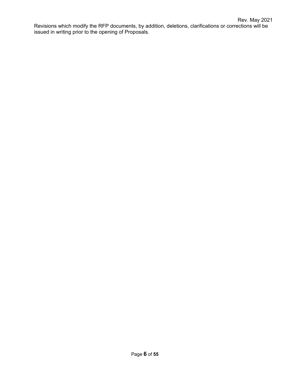Revisions which modify the RFP documents, by addition, deletions, clarifications or corrections will be issued in writing prior to the opening of Proposals.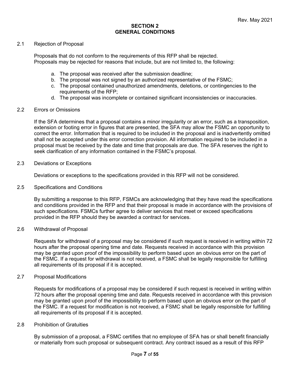#### **SECTION 2 GENERAL CONDITIONS**

#### 2.1 Rejection of Proposal

Proposals that do not conform to the requirements of this RFP shall be rejected. Proposals may be rejected for reasons that include, but are not limited to, the following:

- a. The proposal was received after the submission deadline;
- b. The proposal was not signed by an authorized representative of the FSMC;
- c. The proposal contained unauthorized amendments, deletions, or contingencies to the requirements of the RFP;
- d. The proposal was incomplete or contained significant inconsistencies or inaccuracies.

#### 2.2 Errors or Omissions

If the SFA determines that a proposal contains a minor irregularity or an error, such as a transposition, extension or footing error in figures that are presented, the SFA may allow the FSMC an opportunity to correct the error. Information that is required to be included in the proposal and is inadvertently omitted shall not be accepted under this error correction provision. All information required to be included in a proposal must be received by the date and time that proposals are due. The SFA reserves the right to seek clarification of any information contained in the FSMC's proposal.

#### 2.3 Deviations or Exceptions

Deviations or exceptions to the specifications provided in this RFP will not be considered.

#### 2.5 Specifications and Conditions

By submitting a response to this RFP, FSMCs are acknowledging that they have read the specifications and conditions provided in the RFP and that their proposal is made in accordance with the provisions of such specifications. FSMCs further agree to deliver services that meet or exceed specifications provided in the RFP should they be awarded a contract for services.

#### 2.6 Withdrawal of Proposal

Requests for withdrawal of a proposal may be considered if such request is received in writing within 72 hours after the proposal opening time and date. Requests received in accordance with this provision may be granted upon proof of the impossibility to perform based upon an obvious error on the part of the FSMC. If a request for withdrawal is not received, a FSMC shall be legally responsible for fulfilling all requirements of its proposal if it is accepted.

#### 2.7 Proposal Modifications

Requests for modifications of a proposal may be considered if such request is received in writing within 72 hours after the proposal opening time and date. Requests received in accordance with this provision may be granted upon proof of the impossibility to perform based upon an obvious error on the part of the FSMC. If a request for modification is not received, a FSMC shall be legally responsible for fulfilling all requirements of its proposal if it is accepted.

#### 2.8 Prohibition of Gratuities

By submission of a proposal, a FSMC certifies that no employee of SFA has or shall benefit financially or materially from such proposal or subsequent contract. Any contract issued as a result of this RFP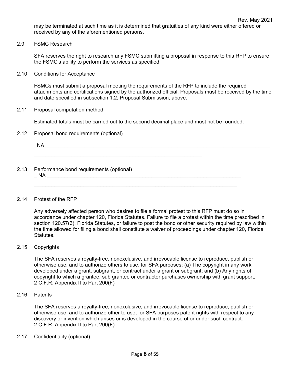may be terminated at such time as it is determined that gratuities of any kind were either offered or received by any of the aforementioned persons.

2.9 FSMC Research

SFA reserves the right to research any FSMC submitting a proposal in response to this RFP to ensure the FSMC's ability to perform the services as specified.

2.10 Conditions for Acceptance

FSMCs must submit a proposal meeting the requirements of the RFP to include the required attachments and certifications signed by the authorized official. Proposals must be received by the time and date specified in subsection 1.2, Proposal Submission, above.

2.11 Proposal computation method

Estimated totals must be carried out to the second decimal place and must not be rounded.

2.12 Proposal bond requirements (optional)

|      | <b>NA</b>                                             |  |  |
|------|-------------------------------------------------------|--|--|
| 2.13 | Performance bond requirements (optional)<br><b>NA</b> |  |  |

\_\_\_\_\_\_\_\_\_\_\_\_\_\_\_\_\_\_\_\_\_\_\_\_\_\_\_\_\_\_\_\_\_\_\_\_\_\_\_\_\_\_\_\_\_\_\_\_\_\_\_\_\_\_\_\_\_\_\_\_\_\_\_\_\_\_\_\_\_\_

#### 2.14 Protest of the RFP

Any adversely affected person who desires to file a formal protest to this RFP must do so in accordance under chapter 120, Florida Statutes. Failure to file a protest within the time prescribed in section 120.57(3), Florida Statutes, or failure to post the bond or other security required by law within the time allowed for filing a bond shall constitute a waiver of proceedings under chapter 120, Florida Statutes.

#### 2.15 Copyrights

The SFA reserves a royalty-free, nonexclusive, and irrevocable license to reproduce, publish or otherwise use, and to authorize others to use, for SFA purposes: (a) The copyright in any work developed under a grant, subgrant, or contract under a grant or subgrant; and (b) Any rights of copyright to which a grantee, sub grantee or contractor purchases ownership with grant support. 2 C.F.R. Appendix II to Part 200(F)

2.16 Patents

The SFA reserves a royalty-free, nonexclusive, and irrevocable license to reproduce, publish or otherwise use, and to authorize other to use, for SFA purposes patent rights with respect to any discovery or invention which arises or is developed in the course of or under such contract. 2 C.F.R. Appendix II to Part 200(F)

2.17 Confidentiality (optional)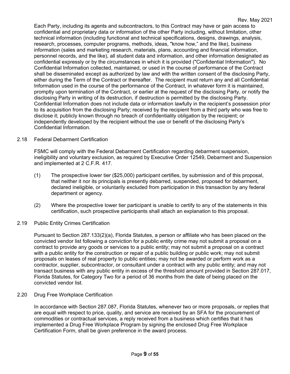Each Party, including its agents and subcontractors, to this Contract may have or gain access to confidential and proprietary data or information of the other Party including, without limitation, other technical information (including functional and technical specifications, designs, drawings, analysis, research, processes, computer programs, methods, ideas, "know how," and the like), business information (sales and marketing research, materials, plans, accounting and financial information, personnel records, and the like), all student data and information, and other information designated as confidential expressly or by the circumstances in which it is provided ("Confidential Information"). No Confidential Information collected, maintained, or used in the course of performance of the Contract shall be disseminated except as authorized by law and with the written consent of the disclosing Party, either during the Term of the Contract or thereafter. The recipient must return any and all Confidential Information used in the course of the performance of the Contract, in whatever form it is maintained, promptly upon termination of the Contract, or earlier at the request of the disclosing Party, or notify the disclosing Party in writing of its destruction, if destruction is permitted by the disclosing Party. Confidential Information does not include data or information lawfully in the recipient's possession prior to its acquisition from the disclosing Party; received by the recipient from a third party who was free to disclose it; publicly known through no breach of confidentiality obligation by the recipient; or independently developed by the recipient without the use or benefit of the disclosing Party's Confidential Information.

#### 2.18 Federal Debarment Certification

FSMC will comply with the Federal Debarment Certification regarding debarment suspension, ineligibility and voluntary exclusion, as required by Executive Order 12549, Debarment and Suspension and implemented at 2 C.F.R. 417.

- (1) The prospective lower tier (\$25,000) participant certifies, by submission and of this proposal, that neither it nor its principals is presently debarred, suspended, proposed for debarment, declared ineligible, or voluntarily excluded from participation in this transaction by any federal department or agency.
- (2) Where the prospective lower tier participant is unable to certify to any of the statements in this certification, such prospective participants shall attach an explanation to this proposal.

#### 2.19 Public Entity Crimes Certification

Pursuant to Section 287.133(2)(a), Florida Statutes, a person or affiliate who has been placed on the convicted vendor list following a conviction for a public entity crime may not submit a proposal on a contract to provide any goods or services to a public entity; may not submit a proposal on a contract with a public entity for the construction or repair of a public building or public work; may not submit proposals on leases of real property to public entities; may not be awarded or perform work as a contractor, supplier, subcontractor, or consultant under a contract with any public entity; and may not transact business with any public entity in excess of the threshold amount provided in Section 287.017, Florida Statutes, for Category Two for a period of 36 months from the date of being placed on the convicted vendor list.

#### 2.20 Drug Free Workplace Certification

In accordance with Section 287.087, Florida Statutes, whenever two or more proposals, or replies that are equal with respect to price, quality, and service are received by an SFA for the procurement of commodities or contractual services, a reply received from a business which certifies that it has implemented a Drug Free Workplace Program by signing the enclosed Drug Free Workplace Certification Form, shall be given preference in the award process.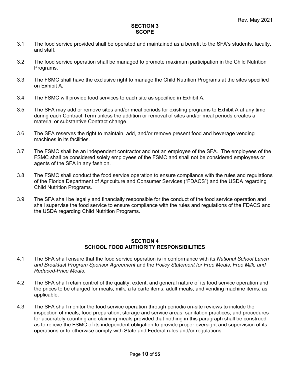#### **SECTION 3 SCOPE**

- 3.1 The food service provided shall be operated and maintained as a benefit to the SFA's students, faculty, and staff.
- 3.2 The food service operation shall be managed to promote maximum participation in the Child Nutrition Programs.
- 3.3 The FSMC shall have the exclusive right to manage the Child Nutrition Programs at the sites specified on Exhibit A.
- 3.4 The FSMC will provide food services to each site as specified in Exhibit A.
- 3.5 The SFA may add or remove sites and/or meal periods for existing programs to Exhibit A at any time during each Contract Term unless the addition or removal of sites and/or meal periods creates a material or substantive Contract change.
- 3.6 The SFA reserves the right to maintain, add, and/or remove present food and beverage vending machines in its facilities.
- 3.7 The FSMC shall be an independent contractor and not an employee of the SFA. The employees of the FSMC shall be considered solely employees of the FSMC and shall not be considered employees or agents of the SFA in any fashion.
- 3.8 The FSMC shall conduct the food service operation to ensure compliance with the rules and regulations of the Florida Department of Agriculture and Consumer Services ("FDACS") and the USDA regarding Child Nutrition Programs.
- 3.9 The SFA shall be legally and financially responsible for the conduct of the food service operation and shall supervise the food service to ensure compliance with the rules and regulations of the FDACS and the USDA regarding Child Nutrition Programs.

#### **SECTION 4 SCHOOL FOOD AUTHORITY RESPONSIBILITIES**

- 4.1 The SFA shall ensure that the food service operation is in conformance with its *National School Lunch and Breakfast Program Sponsor Agreement* and the *Policy Statement for Free Meals, Free Milk, and Reduced-Price Meals*.
- 4.2 The SFA shall retain control of the quality, extent, and general nature of its food service operation and the prices to be charged for meals, milk, a la carte items, adult meals, and vending machine items, as applicable.
- 4.3 The SFA shall monitor the food service operation through periodic on-site reviews to include the inspection of meals, food preparation, storage and service areas, sanitation practices, and procedures for accurately counting and claiming meals provided that nothing in this paragraph shall be construed as to relieve the FSMC of its independent obligation to provide proper oversight and supervision of its operations or to otherwise comply with State and Federal rules and/or regulations.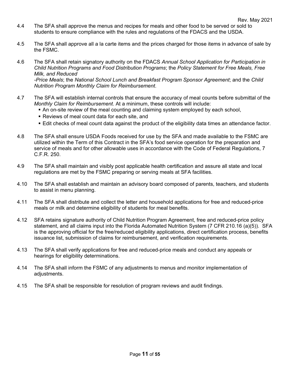- 4.4 The SFA shall approve the menus and recipes for meals and other food to be served or sold to students to ensure compliance with the rules and regulations of the FDACS and the USDA.
- 4.5 The SFA shall approve all a la carte items and the prices charged for those items in advance of sale by the FSMC.
- 4.6 The SFA shall retain signatory authority on the FDACS *Annual School Application for Participation in Child Nutrition Programs and Food Distribution Programs*; the *Policy Statement for Free Meals, Free Milk, and Reduced -Price Meals*; the *National School Lunch and Breakfast Program Sponsor Agreement*; and the *Child Nutrition Program Monthly Claim for Reimbursement*.
- 4.7 The SFA will establish internal controls that ensure the accuracy of meal counts before submittal of the *Monthly Claim for Reimbursement*. At a minimum, these controls will include:
	- An on-site review of the meal counting and claiming system employed by each school,
	- Reviews of meal count data for each site, and
	- Edit checks of meal count data against the product of the eligibility data times an attendance factor.
- 4.8 The SFA shall ensure USDA Foods received for use by the SFA and made available to the FSMC are utilized within the Term of this Contract in the SFA's food service operation for the preparation and service of meals and for other allowable uses in accordance with the Code of Federal Regulations, 7 C.F.R. 250.
- 4.9 The SFA shall maintain and visibly post applicable health certification and assure all state and local regulations are met by the FSMC preparing or serving meals at SFA facilities.
- 4.10 The SFA shall establish and maintain an advisory board composed of parents, teachers, and students to assist in menu planning.
- 4.11 The SFA shall distribute and collect the letter and household applications for free and reduced-price meals or milk and determine eligibility of students for meal benefits.
- 4.12 SFA retains signature authority of Child Nutrition Program Agreement, free and reduced-price policy statement, and all claims input into the Florida Automated Nutrition System (7 CFR 210.16 (a)(5)). SFA is the approving official for the free/reduced eligibility applications, direct certification process, benefits issuance list, submission of claims for reimbursement, and verification requirements.
- 4.13 The SFA shall verify applications for free and reduced-price meals and conduct any appeals or hearings for eligibility determinations.
- 4.14 The SFA shall inform the FSMC of any adjustments to menus and monitor implementation of adjustments.
- 4.15 The SFA shall be responsible for resolution of program reviews and audit findings.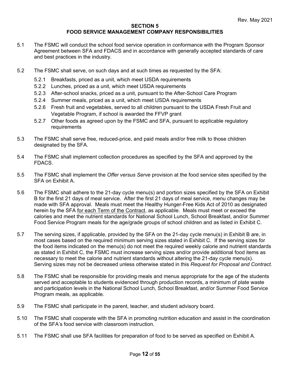#### **SECTION 5 FOOD SERVICE MANAGEMENT COMPANY RESPONSIBILITIES**

- 5.1 The FSMC will conduct the school food service operation in conformance with the Program Sponsor Agreement between SFA and FDACS and in accordance with generally accepted standards of care and best practices in the industry.
- 5.2 The FSMC shall serve, on such days and at such times as requested by the SFA:
	- 5.2.1 Breakfasts, priced as a unit, which meet USDA requirements
	- 5.2.2 Lunches, priced as a unit, which meet USDA requirements
	- 5.2.3 After-school snacks, priced as a unit, pursuant to the After-School Care Program
	- 5.2.4 Summer meals, priced as a unit, which meet USDA requirements
	- 5.2.6 Fresh fruit and vegetables, served to all children pursuant to the USDA Fresh Fruit and Vegetable Program, if school is awarded the FFVP grant
	- 5.2.7 Other foods as agreed upon by the FSMC and SFA, pursuant to applicable regulatory requirements
- 5.3 The FSMC shall serve free, reduced-price, and paid meals and/or free milk to those children designated by the SFA.
- 5.4 The FSMC shall implement collection procedures as specified by the SFA and approved by the FDACS.
- 5.5 The FSMC shall implement the *Offer versus Serve* provision at the food service sites specified by the SFA on Exhibit A.
- 5.6 The FSMC shall adhere to the 21-day cycle menu(s) and portion sizes specified by the SFA on Exhibit B for the first 21 days of meal service. After the first 21 days of meal service, menu changes may be made with SFA approval. Meals must meet the Healthy Hunger-Free Kids Act of 2010 as designated herein by the SFA for each Term of the Contract, as applicable. Meals must meet or exceed the calories and meet the nutrient standards for National School Lunch, School Breakfast, and/or Summer Food Service Program meals for the age/grade groups of school children and as listed in Exhibit C.
- 5.7 The serving sizes, if applicable, provided by the SFA on the 21-day cycle menu(s) in Exhibit B are, in most cases based on the required minimum serving sizes stated in Exhibit C. If the serving sizes for the food items indicated on the menu(s) do not meet the required weekly calorie and nutrient standards as stated in Exhibit C, the FSMC must increase serving sizes and/or provide additional food items as necessary to meet the calorie and nutrient standards without altering the 21-day cycle menu(s). Serving sizes may not be decreased unless otherwise stated in this *Request for Proposal and Contract*.
- 5.8 The FSMC shall be responsible for providing meals and menus appropriate for the age of the students served and acceptable to students evidenced through production records, a minimum of plate waste and participation levels in the National School Lunch, School Breakfast, and/or Summer Food Service Program meals, as applicable.
- 5.9 The FSMC shall participate in the parent, teacher, and student advisory board.
- 5.10 The FSMC shall cooperate with the SFA in promoting nutrition education and assist in the coordination of the SFA's food service with classroom instruction.
- 5.11 The FSMC shall use SFA facilities for preparation of food to be served as specified on Exhibit A.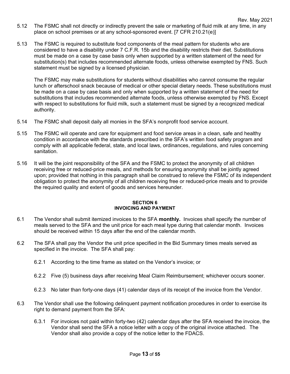- Rev. May 2021 5.12 The FSMC shall not directly or indirectly prevent the sale or marketing of fluid milk at any time, in any place on school premises or at any school-sponsored event. [7 CFR 210.21(e)]
- 5.13 The FSMC is required to substitute food components of the meal pattern for students who are considered to have a disability under 7 C.F.R. 15b and the disability restricts their diet. Substitutions must be made on a case by case basis only when supported by a written statement of the need for substitution(s) that includes recommended alternate foods, unless otherwise exempted by FNS. Such statement must be signed by a licensed physician.

The FSMC may make substitutions for students without disabilities who cannot consume the regular lunch or afterschool snack because of medical or other special dietary needs. These substitutions must be made on a case by case basis and only when supported by a written statement of the need for substitutions that includes recommended alternate foods, unless otherwise exempted by FNS. Except with respect to substitutions for fluid milk, such a statement must be signed by a recognized medical authority.

- 5.14 The FSMC shall deposit daily all monies in the SFA's nonprofit food service account.
- 5.15 The FSMC will operate and care for equipment and food service areas in a clean, safe and healthy condition in accordance with the standards prescribed in the SFA's written food safety program and comply with all applicable federal, state, and local laws, ordinances, regulations, and rules concerning sanitation.
- 5.16 It will be the joint responsibility of the SFA and the FSMC to protect the anonymity of all children receiving free or reduced-price meals, and methods for ensuring anonymity shall be jointly agreed upon; provided that nothing in this paragraph shall be construed to relieve the FSMC of its independent obligation to protect the anonymity of all children receiving free or reduced-price meals and to provide the required quality and extent of goods and services hereunder.

#### **SECTION 6 INVOICING AND PAYMENT**

- 6.1 The Vendor shall submit itemized invoices to the SFA **monthly.** Invoices shall specify the number of meals served to the SFA and the unit price for each meal type during that calendar month. Invoices should be received within 15 days after the end of the calendar month.
- 6.2 The SFA shall pay the Vendor the unit price specified in the Bid Summary times meals served as specified in the invoice. The SFA shall pay:
	- 6.2.1 According to the time frame as stated on the Vendor's invoice; or
	- 6.2.2 Five (5) business days after receiving Meal Claim Reimbursement; whichever occurs sooner.
	- 6.2.3 No later than forty-one days (41) calendar days of its receipt of the invoice from the Vendor.
- 6.3 The Vendor shall use the following delinquent payment notification procedures in order to exercise its right to demand payment from the SFA:
	- 6.3.1 For invoices not paid within forty-two (42) calendar days after the SFA received the invoice, the Vendor shall send the SFA a notice letter with a copy of the original invoice attached. The Vendor shall also provide a copy of the notice letter to the FDACS.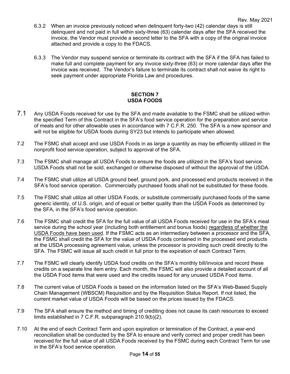- 6.3.2 When an invoice previously noticed when delinquent forty-two (42) calendar days is still delinquent and not paid in full within sixty-three (63) calendar days after the SFA received the invoice, the Vendor must provide a second letter to the SFA with a copy of the original invoice attached and provide a copy to the FDACS.
- 6.3.3 The Vendor may suspend service or terminate its contract with the SFA if the SFA has failed to make full and complete payment for any invoice sixty-three (63) or more calendar days after the invoice was received. The Vendor's failure to terminate its contract shall not waive its right to seek payment under appropriate Florida Law and procedures.

#### **SECTION 7 USDA FOODS**

- 7.1 Any USDA Foods received for use by the SFA and made available to the FSMC shall be utilized within the specified Term of this Contract in the SFA's food service operation for the preparation and service of meals and for other allowable uses in accordance with 7 C.F.R. 250.The SFA is a new sponsor and will not be eligible for USDA foods during SY23 but intends to participate when allowed.
- 7.2 The FSMC shall accept and use USDA Foods in as large a quantity as may be efficiently utilized in the nonprofit food service operation, subject to approval of the SFA.
- 7.3 The FSMC shall manage all USDA Foods to ensure the foods are utilized in the SFA's food service. USDA Foods shall not be sold, exchanged or otherwise disposed of without the approval of the USDA.
- 7.4 The FSMC shall utilize all USDA ground beef, ground pork, and processed end products received in the SFA's food service operation. Commercially purchased foods shall not be substituted for these foods.
- 7.5 The FSMC shall utilize all other USDA Foods, or substitute commercially purchased foods of the same generic identity, of U.S. origin, and of equal or better quality than the USDA Foods as determined by the SFA, in the SFA's food service operation.
- 7.6 The FSMC shall credit the SFA for the full value of all USDA Foods received for use in the SFA's meal service during the school year (including both entitlement and bonus foods) regardless of whether the USDA Foods have been used. If the FSMC acts as an intermediary between a processor and the SFA, the FSMC shall credit the SFA for the value of USDA Foods contained in the processed end products at the USDA processing agreement value, unless the processor is providing such credit directly to the SFA. The FSMC will issue all such credit in full prior to the expiration of each Contract Term.
- 7.7 The FSMC will clearly identify USDA food credits on the SFA's monthly bill/invoice and record these credits on a separate line item entry. Each month, the FSMC will also provide a detailed account of all the USDA Food items that were used and the credits issued for any unused USDA Food items.
- 7.8 The current value of USDA Foods is based on the information listed on the SFA's Web-Based Supply Chain Management (WBSCM) Requisition and by the Requisition Status Report. If not listed, the current market value of USDA Foods will be based on the prices issued by the FDACS.
- 7.9 The SFA shall ensure the method and timing of crediting does not cause its cash resources to exceed limits established in 7 C.F.R. subparagraph 210.9(b)(2).
- 7.10 At the end of each Contract Term and upon expiration or termination of the Contract, a year-end reconciliation shall be conducted by the SFA to ensure and verify correct and proper credit has been received for the full value of all USDA Foods received by the FSMC during each Contract Term for use in the SFA's food service operation.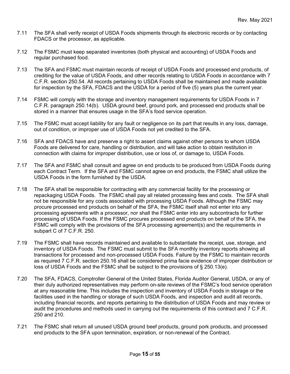- 7.11 The SFA shall verify receipt of USDA Foods shipments through its electronic records or by contacting FDACS or the processor, as applicable.
- 7.12 The FSMC must keep separated inventories (both physical and accounting) of USDA Foods and regular purchased food.
- 7.13 The SFA and FSMC must maintain records of receipt of USDA Foods and processed end products, of crediting for the value of USDA Foods, and other records relating to USDA Foods in accordance with 7 C.F.R. section 250.54. All records pertaining to USDA Foods shall be maintained and made available for inspection by the SFA, FDACS and the USDA for a period of five (5) years plus the current year.
- 7.14 FSMC will comply with the storage and inventory management requirements for USDA Foods in 7 C.F.R. paragraph 250.14(b). USDA ground beef, ground pork, and processed end products shall be stored in a manner that ensures usage in the SFA's food service operation.
- 7.15 The FSMC must accept liability for any fault or negligence on its part that results in any loss, damage, out of condition, or improper use of USDA Foods not yet credited to the SFA.
- 7.16 SFA and FDACS have and preserve a right to assert claims against other persons to whom USDA Foods are delivered for care, handling or distribution, and will take action to obtain restitution in connection with claims for improper distribution, use or loss of, or damage to, USDA Foods.
- 7.17 The SFA and FSMC shall consult and agree on end products to be produced from USDA Foods during each Contract Term. If the SFA and FSMC cannot agree on end products, the FSMC shall utilize the USDA Foods in the form furnished by the USDA.
- 7.18 The SFA shall be responsible for contracting with any commercial facility for the processing or repackaging USDA Foods. The FSMC shall pay all related processing fees and costs. The SFA shall not be responsible for any costs associated with processing USDA Foods. Although the FSMC may procure processed end products on behalf of the SFA, the FSMC itself shall not enter into any processing agreements with a processor, nor shall the FSMC enter into any subcontracts for further processing of USDA Foods. If the FSMC procures processed end products on behalf of the SFA, the FSMC will comply with the provisions of the SFA processing agreement(s) and the requirements in subpart C of 7 C.F.R. 250.
- 7.19 The FSMC shall have records maintained and available to substantiate the receipt, use, storage, and inventory of USDA Foods. The FSMC must submit to the SFA monthly inventory reports showing all transactions for processed and non-processed USDA Foods. Failure by the FSMC to maintain records as required 7 C.F.R. section 250.16 shall be considered prima facie evidence of improper distribution or loss of USDA Foods and the FSMC shall be subject to the provisions of § 250.13(e).
- 7.20 The SFA, FDACS, Comptroller General of the United States, Florida Auditor General, USDA, or any of their duly authorized representatives may perform on-site reviews of the FSMC's food service operation at any reasonable time. This includes the inspection and inventory of USDA Foods in storage or the facilities used in the handling or storage of such USDA Foods, and inspection and audit all records, including financial records, and reports pertaining to the distribution of USDA Foods and may review or audit the procedures and methods used in carrying out the requirements of this contract and 7 C.F.R. 250 and 210.
- 7.21 The FSMC shall return all unused USDA ground beef products, ground pork products, and processed end products to the SFA upon termination, expiration, or non-renewal of the Contract.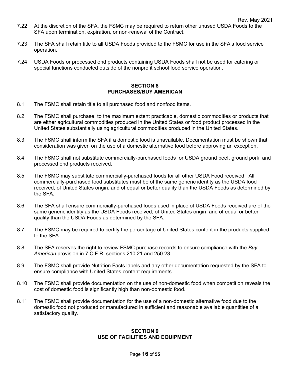- 7.22 At the discretion of the SFA, the FSMC may be required to return other unused USDA Foods to the SFA upon termination, expiration, or non-renewal of the Contract.
- 7.23 The SFA shall retain title to all USDA Foods provided to the FSMC for use in the SFA's food service operation.
- 7.24 USDA Foods or processed end products containing USDA Foods shall not be used for catering or special functions conducted outside of the nonprofit school food service operation.

#### **SECTION 8 PURCHASES/BUY AMERICAN**

- 8.1 The FSMC shall retain title to all purchased food and nonfood items.
- 8.2 The FSMC shall purchase, to the maximum extent practicable, domestic commodities or products that are either agricultural commodities produced in the United States or food product processed in the United States substantially using agricultural commodities produced in the United States.
- 8.3 The FSMC shall inform the SFA if a domestic food is unavailable. Documentation must be shown that consideration was given on the use of a domestic alternative food before approving an exception.
- 8.4 The FSMC shall not substitute commercially-purchased foods for USDA ground beef, ground pork, and processed end products received.
- 8.5 The FSMC may substitute commercially-purchased foods for all other USDA Food received. All commercially-purchased food substitutes must be of the same generic identity as the USDA food received, of United States origin, and of equal or better quality than the USDA Foods as determined by the SFA.
- 8.6 The SFA shall ensure commercially-purchased foods used in place of USDA Foods received are of the same generic identity as the USDA Foods received, of United States origin, and of equal or better quality than the USDA Foods as determined by the SFA.
- 8.7 The FSMC may be required to certify the percentage of United States content in the products supplied to the SFA.
- 8.8 The SFA reserves the right to review FSMC purchase records to ensure compliance with the *Buy American* provision in 7 C.F.R. sections 210.21 and 250.23.
- 8.9 The FSMC shall provide Nutrition Facts labels and any other documentation requested by the SFA to ensure compliance with United States content requirements.
- 8.10 The FSMC shall provide documentation on the use of non-domestic food when competition reveals the cost of domestic food is significantly high than non-domestic food.
- 8.11 The FSMC shall provide documentation for the use of a non-domestic alternative food due to the domestic food not produced or manufactured in sufficient and reasonable available quantities of a satisfactory quality.

#### **SECTION 9 USE OF FACILITIES AND EQUIPMENT**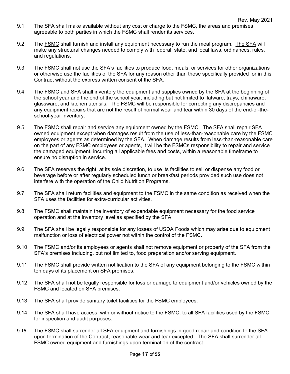- 9.1 The SFA shall make available without any cost or charge to the FSMC, the areas and premises agreeable to both parties in which the FSMC shall render its services.
- 9.2 The FSMC shall furnish and install any equipment necessary to run the meal program. The SFA will make any structural changes needed to comply with federal, state, and local laws, ordinances, rules, and regulations.
- 9.3 The FSMC shall not use the SFA's facilities to produce food, meals, or services for other organizations or otherwise use the facilities of the SFA for any reason other than those specifically provided for in this Contract without the express written consent of the SFA.
- 9.4 The FSMC and SFA shall inventory the equipment and supplies owned by the SFA at the beginning of the school year and the end of the school year, including but not limited to flatware, trays, chinaware, glassware, and kitchen utensils. The FSMC will be responsible for correcting any discrepancies and any equipment repairs that are not the result of normal wear and tear within 30 days of the end-of-theschool-year inventory.
- 9.5 The FSMC shall repair and service any equipment owned by the FSMC. The SFA shall repair SFA owned equipment except when damages result from the use of less-than-reasonable care by the FSMC employees or agents as determined by the SFA. When damage results from less-than-reasonable care on the part of any FSMC employees or agents, it will be the FSMCs responsibility to repair and service the damaged equipment, incurring all applicable fees and costs, within a reasonable timeframe to ensure no disruption in service.
- 9.6 The SFA reserves the right, at its sole discretion, to use its facilities to sell or dispense any food or beverage before or after regularly scheduled lunch or breakfast periods provided such use does not interfere with the operation of the Child Nutrition Programs.
- 9.7 The SFA shall return facilities and equipment to the FSMC in the same condition as received when the SFA uses the facilities for extra-curricular activities.
- 9.8 The FSMC shall maintain the inventory of expendable equipment necessary for the food service operation and at the inventory level as specified by the SFA.
- 9.9 The SFA shall be legally responsible for any losses of USDA Foods which may arise due to equipment malfunction or loss of electrical power not within the control of the FSMC.
- 9.10 The FSMC and/or its employees or agents shall not remove equipment or property of the SFA from the SFA's premises including, but not limited to, food preparation and/or serving equipment.
- 9.11 The FSMC shall provide written notification to the SFA of any equipment belonging to the FSMC within ten days of its placement on SFA premises.
- 9.12 The SFA shall not be legally responsible for loss or damage to equipment and/or vehicles owned by the FSMC and located on SFA premises.
- 9.13 The SFA shall provide sanitary toilet facilities for the FSMC employees.
- 9.14 The SFA shall have access, with or without notice to the FSMC, to all SFA facilities used by the FSMC for inspection and audit purposes.
- 9.15 The FSMC shall surrender all SFA equipment and furnishings in good repair and condition to the SFA upon termination of the Contract, reasonable wear and tear excepted. The SFA shall surrender all FSMC owned equipment and furnishings upon termination of the contract.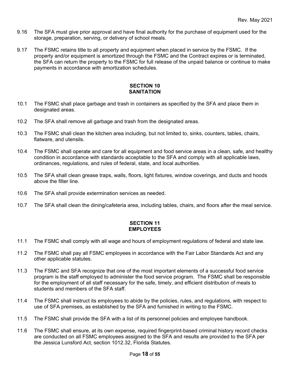- 9.16 The SFA must give prior approval and have final authority for the purchase of equipment used for the storage, preparation, serving, or delivery of school meals.
- 9.17 The FSMC retains title to all property and equipment when placed in service by the FSMC. If the property and/or equipment is amortized through the FSMC and the Contract expires or is terminated, the SFA can return the property to the FSMC for full release of the unpaid balance or continue to make payments in accordance with amortization schedules.

#### **SECTION 10 SANITATION**

- 10.1 The FSMC shall place garbage and trash in containers as specified by the SFA and place them in designated areas.
- 10.2 The SFA shall remove all garbage and trash from the designated areas.
- 10.3 The FSMC shall clean the kitchen area including, but not limited to, sinks, counters, tables, chairs, flatware, and utensils.
- 10.4 The FSMC shall operate and care for all equipment and food service areas in a clean, safe, and healthy condition in accordance with standards acceptable to the SFA and comply with all applicable laws, ordinances, regulations, and rules of federal, state, and local authorities.
- 10.5 The SFA shall clean grease traps, walls, floors, light fixtures, window coverings, and ducts and hoods above the filter line.
- 10.6 The SFA shall provide extermination services as needed.
- 10.7 The SFA shall clean the dining/cafeteria area, including tables, chairs, and floors after the meal service.

#### **SECTION 11 EMPLOYEES**

- 11.1 The FSMC shall comply with all wage and hours of employment regulations of federal and state law.
- 11.2 The FSMC shall pay all FSMC employees in accordance with the Fair Labor Standards Act and any other applicable statutes.
- 11.3 The FSMC and SFA recognize that one of the most important elements of a successful food service program is the staff employed to administer the food service program. The FSMC shall be responsible for the employment of all staff necessary for the safe, timely, and efficient distribution of meals to students and members of the SFA staff.
- 11.4 The FSMC shall instruct its employees to abide by the policies, rules, and regulations, with respect to use of SFA premises, as established by the SFA and furnished in writing to the FSMC.
- 11.5 The FSMC shall provide the SFA with a list of its personnel policies and employee handbook.
- 11.6 The FSMC shall ensure, at its own expense, required fingerprint-based criminal history record checks are conducted on all FSMC employees assigned to the SFA and results are provided to the SFA per the Jessica Lunsford Act, section 1012.32, Florida Statutes.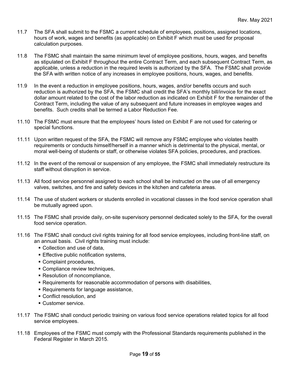- 11.7 The SFA shall submit to the FSMC a current schedule of employees, positions, assigned locations, hours of work, wages and benefits (as applicable) on Exhibit F which must be used for proposal calculation purposes.
- 11.8 The FSMC shall maintain the same minimum level of employee positions, hours, wages, and benefits as stipulated on Exhibit F throughout the entire Contract Term, and each subsequent Contract Term, as applicable, unless a reduction in the required levels is authorized by the SFA. The FSMC shall provide the SFA with written notice of any increases in employee positions, hours, wages, and benefits.
- 11.9 In the event a reduction in employee positions, hours, wages, and/or benefits occurs and such reduction is authorized by the SFA, the FSMC shall credit the SFA's monthly bill/invoice for the exact dollar amount related to the cost of the labor reduction as indicated on Exhibit F for the remainder of the Contract Term, including the value of any subsequent and future increases in employee wages and benefits. Such credits shall be termed a Labor Reduction Fee.
- 11.10 The FSMC must ensure that the employees' hours listed on Exhibit F are not used for catering or special functions.
- 11.11 Upon written request of the SFA, the FSMC will remove any FSMC employee who violates health requirements or conducts himself/herself in a manner which is detrimental to the physical, mental, or moral well-being of students or staff, or otherwise violates SFA policies, procedures, and practices.
- 11.12 In the event of the removal or suspension of any employee, the FSMC shall immediately restructure its staff without disruption in service.
- 11.13 All food service personnel assigned to each school shall be instructed on the use of all emergency valves, switches, and fire and safety devices in the kitchen and cafeteria areas.
- 11.14 The use of student workers or students enrolled in vocational classes in the food service operation shall be mutually agreed upon.
- 11.15 The FSMC shall provide daily, on-site supervisory personnel dedicated solely to the SFA, for the overall food service operation.
- 11.16 The FSMC shall conduct civil rights training for all food service employees, including front-line staff, on an annual basis. Civil rights training must include:
	- Collection and use of data,
	- **Effective public notification systems,**
	- **Complaint procedures,**
	- **Compliance review techniques,**
	- **Resolution of noncompliance,**
	- Requirements for reasonable accommodation of persons with disabilities,
	- Requirements for language assistance,
	- Conflict resolution, and
	- Customer service
- 11.17 The FSMC shall conduct periodic training on various food service operations related topics for all food service employees.
- 11.18 Employees of the FSMC must comply with the Professional Standards requirements published in the Federal Register in March 2015.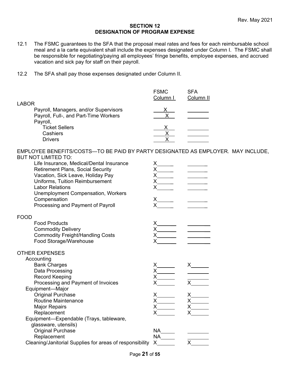#### **SECTION 12 DESIGNATION OF PROGRAM EXPENSE**

- 12.1 The FSMC guarantees to the SFA that the proposal meal rates and fees for each reimbursable school meal and a la carte equivalent shall include the expenses designated under Column I. The FSMC shall be responsible for negotiating/paying all employees' fringe benefits, employee expenses, and accrued vacation and sick pay for staff on their payroll.
- 12.2 The SFA shall pay those expenses designated under Column II.

|                                       | <b>FSMC</b><br>Column I | <b>SFA</b><br>Column <sub>II</sub> |
|---------------------------------------|-------------------------|------------------------------------|
| <b>LABOR</b>                          |                         |                                    |
| Payroll, Managers, and/or Supervisors |                         |                                    |
| Payroll, Full-, and Part-Time Workers |                         |                                    |
| Payroll,                              |                         |                                    |
| <b>Ticket Sellers</b>                 |                         |                                    |
| Cashiers                              |                         |                                    |
| <b>Drivers</b>                        |                         |                                    |
|                                       |                         |                                    |

EMPLOYEE BENEFITS/COSTS—TO BE PAID BY PARTY DESIGNATED AS EMPLOYER. MAY INCLUDE, BUT NOT LIMITED TO:

| Life Insurance, Medical/Dental Insurance<br><b>Retirement Plans, Social Security</b><br>Vacation, Sick Leave, Holiday Pay<br>Uniforms, Tuition Reimbursement<br><b>Labor Relations</b><br><b>Unemployment Compensation, Workers</b><br>Compensation<br>Processing and Payment of Payroll | x______<br>x                |                                         |
|------------------------------------------------------------------------------------------------------------------------------------------------------------------------------------------------------------------------------------------------------------------------------------------|-----------------------------|-----------------------------------------|
| <b>FOOD</b>                                                                                                                                                                                                                                                                              |                             |                                         |
| <b>Food Products</b>                                                                                                                                                                                                                                                                     |                             |                                         |
| <b>Commodity Delivery</b>                                                                                                                                                                                                                                                                |                             |                                         |
| <b>Commodity Freight/Handling Costs</b>                                                                                                                                                                                                                                                  |                             |                                         |
| Food Storage/Warehouse                                                                                                                                                                                                                                                                   |                             |                                         |
| <b>OTHER EXPENSES</b>                                                                                                                                                                                                                                                                    |                             |                                         |
| Accounting                                                                                                                                                                                                                                                                               |                             |                                         |
| <b>Bank Charges</b>                                                                                                                                                                                                                                                                      |                             | $x$ $\frac{\overline{x}}{\overline{x}}$ |
| Data Processing                                                                                                                                                                                                                                                                          |                             |                                         |
| Record Keeping<br>Processing and Payment of Invoices                                                                                                                                                                                                                                     |                             |                                         |
| Equipment-Major                                                                                                                                                                                                                                                                          |                             |                                         |
| <b>Original Purchase</b>                                                                                                                                                                                                                                                                 |                             |                                         |
| <b>Routine Maintenance</b>                                                                                                                                                                                                                                                               |                             |                                         |
| <b>Major Repairs</b>                                                                                                                                                                                                                                                                     |                             |                                         |
| Replacement                                                                                                                                                                                                                                                                              |                             |                                         |
| Equipment-Expendable (Trays, tableware,                                                                                                                                                                                                                                                  |                             |                                         |
| glassware, utensils)<br><b>Original Purchase</b>                                                                                                                                                                                                                                         |                             |                                         |
| Replacement                                                                                                                                                                                                                                                                              | $NA$ <sub>_____</sub><br>NA |                                         |
| Cleaning/Janitorial Supplies for areas of responsibility                                                                                                                                                                                                                                 | $\boldsymbol{\mathsf{X}}$   |                                         |
|                                                                                                                                                                                                                                                                                          |                             |                                         |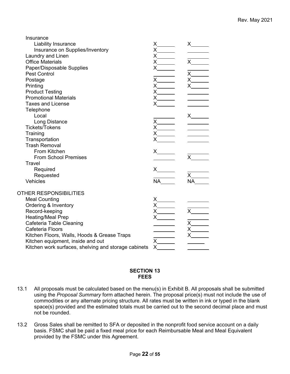| Insurance                                            |                                                                                                                                                                                                                                                                                                                                                                                                                                                                                                                        |                                                                                                                                                                                                                                                                                                                                                                                                                                                                                                                        |
|------------------------------------------------------|------------------------------------------------------------------------------------------------------------------------------------------------------------------------------------------------------------------------------------------------------------------------------------------------------------------------------------------------------------------------------------------------------------------------------------------------------------------------------------------------------------------------|------------------------------------------------------------------------------------------------------------------------------------------------------------------------------------------------------------------------------------------------------------------------------------------------------------------------------------------------------------------------------------------------------------------------------------------------------------------------------------------------------------------------|
| Liability Insurance                                  | $x \xarrow{\times}$<br>$x \xarrow{\times}$<br>$x \xarrow{\times}$                                                                                                                                                                                                                                                                                                                                                                                                                                                      | X                                                                                                                                                                                                                                                                                                                                                                                                                                                                                                                      |
| Insurance on Supplies/Inventory                      |                                                                                                                                                                                                                                                                                                                                                                                                                                                                                                                        |                                                                                                                                                                                                                                                                                                                                                                                                                                                                                                                        |
| Laundry and Linen                                    |                                                                                                                                                                                                                                                                                                                                                                                                                                                                                                                        | $\overline{x}$                                                                                                                                                                                                                                                                                                                                                                                                                                                                                                         |
| <b>Office Materials</b>                              |                                                                                                                                                                                                                                                                                                                                                                                                                                                                                                                        |                                                                                                                                                                                                                                                                                                                                                                                                                                                                                                                        |
| Paper/Disposable Supplies                            |                                                                                                                                                                                                                                                                                                                                                                                                                                                                                                                        | $x \underline{x}$ $x \underline{x}$ $x \underline{x}$ $x \underline{x}$ $x \underline{x}$ $x \underline{x}$ $x \underline{x}$ $x \underline{x}$ $x \underline{x}$ $x \underline{x}$ $x \underline{x}$ $x \underline{x}$ $x \underline{x}$ $x \underline{x}$ $x \underline{x}$ $x \underline{x}$ $x \underline{x}$ $x \underline{x}$ $x \underline{x}$ $x \underline{x}$ $x \underline{x}$ $x \underline{x}$ $x \underline{x}$ $x \underline{x}$ $x \underline{x}$ $x \underline{x}$ $x \underline{x}$ $x \underline{x$ |
| <b>Pest Control</b>                                  |                                                                                                                                                                                                                                                                                                                                                                                                                                                                                                                        |                                                                                                                                                                                                                                                                                                                                                                                                                                                                                                                        |
| Postage                                              |                                                                                                                                                                                                                                                                                                                                                                                                                                                                                                                        |                                                                                                                                                                                                                                                                                                                                                                                                                                                                                                                        |
| Printing                                             |                                                                                                                                                                                                                                                                                                                                                                                                                                                                                                                        |                                                                                                                                                                                                                                                                                                                                                                                                                                                                                                                        |
| <b>Product Testing</b>                               |                                                                                                                                                                                                                                                                                                                                                                                                                                                                                                                        |                                                                                                                                                                                                                                                                                                                                                                                                                                                                                                                        |
| <b>Promotional Materials</b>                         |                                                                                                                                                                                                                                                                                                                                                                                                                                                                                                                        |                                                                                                                                                                                                                                                                                                                                                                                                                                                                                                                        |
| <b>Taxes and License</b>                             | $x \underline{x}$ $x \underline{x}$ $x \underline{x}$ $x \underline{x}$ $x \underline{x}$ $x \underline{x}$ $x \underline{x}$ $x \underline{x}$ $x \underline{x}$ $x \underline{x}$ $x \underline{x}$ $x \underline{x}$ $x \underline{x}$ $x \underline{x}$ $x \underline{x}$ $x \underline{x}$ $x \underline{x}$ $x \underline{x}$ $x \underline{x}$ $x \underline{x}$ $x \underline{x}$ $x \underline{x}$ $x \underline{x}$ $x \underline{x}$ $x \underline{x}$ $x \underline{x}$ $x \underline{x}$ $x \underline{x$ |                                                                                                                                                                                                                                                                                                                                                                                                                                                                                                                        |
| Telephone                                            |                                                                                                                                                                                                                                                                                                                                                                                                                                                                                                                        |                                                                                                                                                                                                                                                                                                                                                                                                                                                                                                                        |
| Local                                                |                                                                                                                                                                                                                                                                                                                                                                                                                                                                                                                        |                                                                                                                                                                                                                                                                                                                                                                                                                                                                                                                        |
| Long Distance                                        |                                                                                                                                                                                                                                                                                                                                                                                                                                                                                                                        |                                                                                                                                                                                                                                                                                                                                                                                                                                                                                                                        |
| <b>Tickets/Tokens</b>                                | $x \underline{x}$ $x \underline{x}$ $x \underline{x}$ $x \underline{x}$ $x \underline{x}$ $x \underline{x}$ $x \underline{x}$ $x \underline{x}$ $x \underline{x}$ $x \underline{x}$ $x \underline{x}$ $x \underline{x}$ $x \underline{x}$ $x \underline{x}$ $x \underline{x}$ $x \underline{x}$ $x \underline{x}$ $x \underline{x}$ $x \underline{x}$ $x \underline{x}$ $x \underline{x}$ $x \underline{x}$ $x \underline{x}$ $x \underline{x}$ $x \underline{x}$ $x \underline{x}$ $x \underline{x}$ $x \underline{x$ |                                                                                                                                                                                                                                                                                                                                                                                                                                                                                                                        |
| Training                                             |                                                                                                                                                                                                                                                                                                                                                                                                                                                                                                                        |                                                                                                                                                                                                                                                                                                                                                                                                                                                                                                                        |
| Transportation                                       |                                                                                                                                                                                                                                                                                                                                                                                                                                                                                                                        |                                                                                                                                                                                                                                                                                                                                                                                                                                                                                                                        |
| <b>Trash Removal</b>                                 |                                                                                                                                                                                                                                                                                                                                                                                                                                                                                                                        |                                                                                                                                                                                                                                                                                                                                                                                                                                                                                                                        |
| From Kitchen                                         | x                                                                                                                                                                                                                                                                                                                                                                                                                                                                                                                      |                                                                                                                                                                                                                                                                                                                                                                                                                                                                                                                        |
| <b>From School Premises</b>                          |                                                                                                                                                                                                                                                                                                                                                                                                                                                                                                                        | $\mathsf{X}$                                                                                                                                                                                                                                                                                                                                                                                                                                                                                                           |
| Travel                                               |                                                                                                                                                                                                                                                                                                                                                                                                                                                                                                                        |                                                                                                                                                                                                                                                                                                                                                                                                                                                                                                                        |
| Required                                             |                                                                                                                                                                                                                                                                                                                                                                                                                                                                                                                        |                                                                                                                                                                                                                                                                                                                                                                                                                                                                                                                        |
| Requested                                            |                                                                                                                                                                                                                                                                                                                                                                                                                                                                                                                        | X                                                                                                                                                                                                                                                                                                                                                                                                                                                                                                                      |
| Vehicles                                             | NA                                                                                                                                                                                                                                                                                                                                                                                                                                                                                                                     | <b>NA</b>                                                                                                                                                                                                                                                                                                                                                                                                                                                                                                              |
|                                                      |                                                                                                                                                                                                                                                                                                                                                                                                                                                                                                                        |                                                                                                                                                                                                                                                                                                                                                                                                                                                                                                                        |
| OTHER RESPONSIBILITIES                               |                                                                                                                                                                                                                                                                                                                                                                                                                                                                                                                        |                                                                                                                                                                                                                                                                                                                                                                                                                                                                                                                        |
| <b>Meal Counting</b>                                 |                                                                                                                                                                                                                                                                                                                                                                                                                                                                                                                        |                                                                                                                                                                                                                                                                                                                                                                                                                                                                                                                        |
| Ordering & Inventory                                 |                                                                                                                                                                                                                                                                                                                                                                                                                                                                                                                        | x                                                                                                                                                                                                                                                                                                                                                                                                                                                                                                                      |
| Record-keeping                                       |                                                                                                                                                                                                                                                                                                                                                                                                                                                                                                                        |                                                                                                                                                                                                                                                                                                                                                                                                                                                                                                                        |
| <b>Heating/Meal Prep</b>                             | $x$ and $x$                                                                                                                                                                                                                                                                                                                                                                                                                                                                                                            | $x \underline{x}$ $x \underline{x}$ $x \underline{x}$ $x \underline{x}$ $x \underline{x}$ $x \underline{x}$ $x \underline{x}$ $x \underline{x}$ $x \underline{x}$ $x \underline{x}$ $x \underline{x}$ $x \underline{x}$ $x \underline{x}$ $x \underline{x}$ $x \underline{x}$ $x \underline{x}$ $x \underline{x}$ $x \underline{x}$ $x \underline{x}$ $x \underline{x}$ $x \underline{x}$ $x \underline{x}$ $x \underline{x}$ $x \underline{x}$ $x \underline{x}$ $x \underline{x}$ $x \underline{x}$ $x \underline{x$ |
| Cafeteria Table Cleaning                             |                                                                                                                                                                                                                                                                                                                                                                                                                                                                                                                        |                                                                                                                                                                                                                                                                                                                                                                                                                                                                                                                        |
| Cafeteria Floors                                     |                                                                                                                                                                                                                                                                                                                                                                                                                                                                                                                        |                                                                                                                                                                                                                                                                                                                                                                                                                                                                                                                        |
| Kitchen Floors, Walls, Hoods & Grease Traps          | $x \x \x \x$                                                                                                                                                                                                                                                                                                                                                                                                                                                                                                           |                                                                                                                                                                                                                                                                                                                                                                                                                                                                                                                        |
| Kitchen equipment, inside and out                    |                                                                                                                                                                                                                                                                                                                                                                                                                                                                                                                        |                                                                                                                                                                                                                                                                                                                                                                                                                                                                                                                        |
| Kitchen work surfaces, shelving and storage cabinets |                                                                                                                                                                                                                                                                                                                                                                                                                                                                                                                        |                                                                                                                                                                                                                                                                                                                                                                                                                                                                                                                        |

#### **SECTION 13 FEES**

- 13.1 All proposals must be calculated based on the menu(s) in Exhibit B. All proposals shall be submitted using the *Proposal Summary* form attached herein. The proposal price(s) must not include the use of commodities or any alternate pricing structure. All rates must be written in ink or typed in the blank space(s) provided and the estimated totals must be carried out to the second decimal place and must not be rounded.
- 13.2 Gross Sales shall be remitted to SFA or deposited in the nonprofit food service account on a daily basis. FSMC shall be paid a fixed meal price for each Reimbursable Meal and Meal Equivalent provided by the FSMC under this Agreement.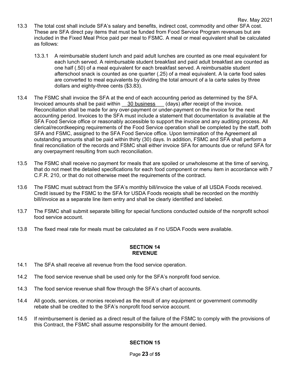- 13.3 The total cost shall include SFA's salary and benefits, indirect cost, commodity and other SFA cost. These are SFA direct pay items that must be funded from Food Service Program revenues but are included in the Fixed Meal Price paid per meal to FSMC. A meal or meal equivalent shall be calculated as follows:
	- 13.3.1 A reimbursable student lunch and paid adult lunches are counted as one meal equivalent for each lunch served. A reimbursable student breakfast and paid adult breakfast are counted as one half (.50) of a meal equivalent for each breakfast served. A reimbursable student afterschool snack is counted as one quarter (.25) of a meal equivalent. A la carte food sales are converted to meal equivalents by dividing the total amount of a la carte sales by three dollars and eighty-three cents (\$3.83).
- 13.4 The FSMC shall invoice the SFA at the end of each accounting period as determined by the SFA. Invoiced amounts shall be paid within \_\_30 business\_\_\_ (days) after receipt of the invoice. Reconciliation shall be made for any over-payment or under-payment on the invoice for the next accounting period. Invoices to the SFA must include a statement that documentation is available at the SFA Food Service office or reasonably accessible to support the invoice and any auditing process. All clerical/recordkeeping requirements of the Food Service operation shall be completed by the staff, both SFA and FSMC, assigned to the SFA Food Service office. Upon termination of the Agreement all outstanding amounts shall be paid within thirty (30) days. In addition, FSMC and SFA shall perform a final reconciliation of the records and FSMC shall either invoice SFA for amounts due or refund SFA for any overpayment resulting from such reconciliation.
- 13.5 The FSMC shall receive no payment for meals that are spoiled or unwholesome at the time of serving, that do not meet the detailed specifications for each food component or menu item in accordance with 7 C.F.R. 210, or that do not otherwise meet the requirements of the contract.
- 13.6 The FSMC must subtract from the SFA's monthly bill/invoice the value of all USDA Foods received. Credit issued by the FSMC to the SFA for USDA Foods receipts shall be recorded on the monthly bill/invoice as a separate line item entry and shall be clearly identified and labeled.
- 13.7 The FSMC shall submit separate billing for special functions conducted outside of the nonprofit school food service account.
- 13.8 The fixed meal rate for meals must be calculated as if no USDA Foods were available.

#### **SECTION 14 REVENUE**

- 14.1 The SFA shall receive all revenue from the food service operation.
- 14.2 The food service revenue shall be used only for the SFA's nonprofit food service.
- 14.3 The food service revenue shall flow through the SFA's chart of accounts.
- 14.4 All goods, services, or monies received as the result of any equipment or government commodity rebate shall be credited to the SFA's nonprofit food service account.
- 14.5 If reimbursement is denied as a direct result of the failure of the FSMC to comply with the provisions of this Contract, the FSMC shall assume responsibility for the amount denied.

#### **SECTION 15**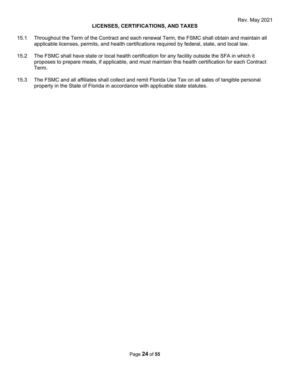#### **LICENSES, CERTIFICATIONS, AND TAXES**

- 15.1 Throughout the Term of the Contract and each renewal Term, the FSMC shall obtain and maintain all applicable licenses, permits, and health certifications required by federal, state, and local law.
- 15.2 The FSMC shall have state or local health certification for any facility outside the SFA in which it proposes to prepare meals, if applicable, and must maintain this health certification for each Contract Term.
- 15.3 The FSMC and all affiliates shall collect and remit Florida Use Tax on all sales of tangible personal property in the State of Florida in accordance with applicable state statutes.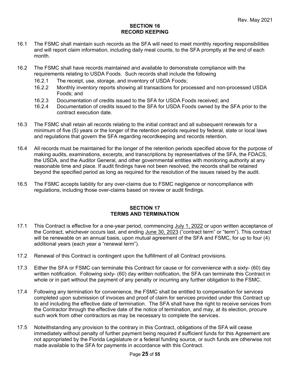#### **SECTION 16 RECORD KEEPING**

- 16.1 The FSMC shall maintain such records as the SFA will need to meet monthly reporting responsibilities and will report claim information, including daily meal counts, to the SFA promptly at the end of each month.
- 16.2 The FSMC shall have records maintained and available to demonstrate compliance with the requirements relating to USDA Foods. Such records shall include the following
	- 16.2.1 The receipt, use, storage, and inventory of USDA Foods;
	- 16.2.2 Monthly inventory reports showing all transactions for processed and non-processed USDA Foods; and
	- 16.2.3 Documentation of credits issued to the SFA for USDA Foods received; and<br>16.2.4 Documentation of credits issued to the SFA for USDA Foods owned by the
	- Documentation of credits issued to the SFA for USDA Foods owned by the SFA prior to the contract execution date.
- 16.3 The FSMC shall retain all records relating to the initial contract and all subsequent renewals for a minimum of five (5) years or the longer of the retention periods required by federal, state or local laws and regulations that govern the SFA regarding recordkeeping and records retention.
- 16.4 All records must be maintained for the longer of the retention periods specified above for the purpose of making audits, examinations, excerpts, and transcriptions by representatives of the SFA, the FDACS, the USDA, and the Auditor General, and other governmental entities with monitoring authority at any reasonable time and place. If audit findings have not been resolved, the records shall be retained beyond the specified period as long as required for the resolution of the issues raised by the audit.
- 16.5 The FSMC accepts liability for any over-claims due to FSMC negligence or noncompliance with regulations, including those over-claims based on review or audit findings.

#### **SECTION 17 TERMS AND TERMINATION**

- 17.1 This Contract is effective for a one-year period, commencing July 1, 2022 or upon written acceptance of the Contract, whichever occurs last, and ending June 30, 2023 ("contract term" or "term"). This contract will be renewable on an annual basis, upon mutual agreement of the SFA and FSMC, for up to four (4) additional years (each year a "renewal term").
- 17.2 Renewal of this Contract is contingent upon the fulfillment of all Contract provisions.
- 17.3 Either the SFA or FSMC can terminate this Contract for cause or for convenience with a sixty- (60) day written notification. Following sixty- (60) day written notification, the SFA can terminate this Contract in whole or in part without the payment of any penalty or incurring any further obligation to the FSMC.
- 17.4 Following any termination for convenience, the FSMC shall be entitled to compensation for services completed upon submission of invoices and proof of claim for services provided under this Contract up to and including the effective date of termination. The SFA shall have the right to receive services from the Contractor through the effective date of the notice of termination, and may, at its election, procure such work from other contractors as may be necessary to complete the services.
- 17.5 Notwithstanding any provision to the contrary in this Contract, obligations of the SFA will cease immediately without penalty of further payment being required if sufficient funds for this Agreement are not appropriated by the Florida Legislature or a federal funding source, or such funds are otherwise not made available to the SFA for payments in accordance with this Contract.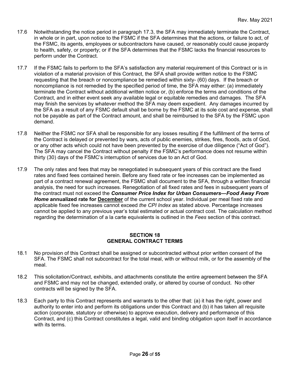- 17.6 Notwithstanding the notice period in paragraph 17.3, the SFA may immediately terminate the Contract, in whole or in part, upon notice to the FSMC if the SFA determines that the actions, or failure to act, of the FSMC, its agents, employees or subcontractors have caused, or reasonably could cause jeopardy to health, safety, or property; or if the SFA determines that the FSMC lacks the financial resources to perform under the Contract.
- 17.7 If the FSMC fails to perform to the SFA's satisfaction any material requirement of this Contract or is in violation of a material provision of this Contract, the SFA shall provide written notice to the FSMC requesting that the breach or noncompliance be remedied within sixty- (60) days. If the breach or noncompliance is not remedied by the specified period of time, the SFA may either: (a) immediately terminate the Contract without additional written notice or, (b) enforce the terms and conditions of the Contract, and in either event seek any available legal or equitable remedies and damages. The SFA may finish the services by whatever method the SFA may deem expedient. Any damages incurred by the SFA as a result of any FSMC default shall be borne by the FSMC at its sole cost and expense, shall not be payable as part of the Contract amount, and shall be reimbursed to the SFA by the FSMC upon demand.
- 17.8 Neither the FSMC nor SFA shall be responsible for any losses resulting if the fulfillment of the terms of the Contract is delayed or prevented by wars, acts of public enemies, strikes, fires, floods, acts of God, or any other acts which could not have been prevented by the exercise of due diligence ("Act of God"). The SFA may cancel the Contract without penalty if the FSMC's performance does not resume within thirty (30) days of the FSMC's interruption of services due to an Act of God.
- 17.9 The only rates and fees that may be renegotiated in subsequent years of this contract are the fixed rates and fixed fees contained herein. Before any fixed rate or fee increases can be implemented as part of a contract renewal agreement, the FSMC shall document to the SFA, through a written financial analysis, the need for such increases. Renegotiation of all fixed rates and fees in subsequent years of the contract must not exceed the *Consumer Price Index for Urban Consumers—Food Away From*  **Home annualized rate for December** of the current school year. Individual per meal fixed rate and applicable fixed fee increases cannot exceed *the CPI Index* as stated above. Percentage increases cannot be applied to any previous year's total estimated or actual contract cost. The calculation method regarding the determination of a la carte equivalents is outlined in the *Fees* section of this contract.

#### **SECTION 18 GENERAL CONTRACT TERMS**

- 18.1 No provision of this Contract shall be assigned or subcontracted without prior written consent of the SFA. The FSMC shall not subcontract for the total meal, with or without milk, or for the assembly of the meal.
- 18.2 This solicitation/Contract, exhibits, and attachments constitute the entire agreement between the SFA and FSMC and may not be changed, extended orally, or altered by course of conduct. No other contracts will be signed by the SFA.
- 18.3 Each party to this Contract represents and warrants to the other that: (a) it has the right, power and authority to enter into and perform its obligations under this Contract and (b) it has taken all requisite action (corporate, statutory or otherwise) to approve execution, delivery and performance of this Contract, and (c) this Contract constitutes a legal, valid and binding obligation upon itself in accordance with its terms.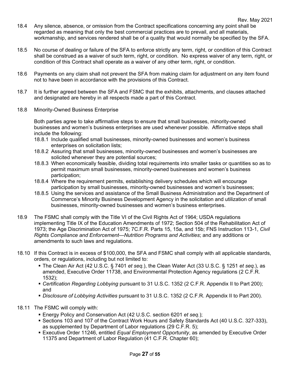- 18.4 Any silence, absence, or omission from the Contract specifications concerning any point shall be regarded as meaning that only the best commercial practices are to prevail, and all materials, workmanship, and services rendered shall be of a quality that would normally be specified by the SFA.
- 18.5 No course of dealing or failure of the SFA to enforce strictly any term, right, or condition of this Contract shall be construed as a waiver of such term, right, or condition. No express waiver of any term, right, or condition of this Contract shall operate as a waiver of any other term, right, or condition.
- 18.6 Payments on any claim shall not prevent the SFA from making claim for adjustment on any item found not to have been in accordance with the provisions of this Contract.
- 18.7 It is further agreed between the SFA and FSMC that the exhibits, attachments, and clauses attached and designated are hereby in all respects made a part of this Contract.
- 18.8 Minority-Owned Business Enterprise

Both parties agree to take affirmative steps to ensure that small businesses, minority-owned businesses and women's business enterprises are used whenever possible. Affirmative steps shall include the following:

- 18.8.1 Include qualified small businesses, minority-owned businesses and women's business enterprises on solicitation lists;
- 18.8.2 Assuring that small businesses, minority-owned businesses and women's businesses are solicited whenever they are potential sources;
- 18.8.3 When economically feasible, dividing total requirements into smaller tasks or quantities so as to permit maximum small businesses, minority-owned businesses and women's business participation;
- 18.8.4 Where the requirement permits, establishing delivery schedules which will encourage participation by small businesses, minority-owned businesses and women's businesses;
- 18.8.5 Using the services and assistance of the Small Business Administration and the Department of Commerce's Minority Business Development Agency in the solicitation and utilization of small businesses, minority-owned businesses and women's business enterprises.
- 18.9 The FSMC shall comply with the Title VI of the Civil Rights Act of 1964; USDA regulations implementing Title IX of the Education Amendments of 1972; Section 504 of the Rehabilitation Act of 1973; the Age Discrimination Act of 1975; 7C.F.R. Parts 15, 15a, and 15b; FNS Instruction 113-1, *Civil Rights Compliance and Enforcement—Nutrition Programs and Activities*; and any additions or amendments to such laws and regulations.
- 18.10 If this Contract is in excess of \$100,000, the SFA and FSMC shall comply with all applicable standards, orders, or regulations, including but not limited to:
	- The Clean Air Act (42 U.S.C. § 7401 *et seq.*), the Clean Water Act (33 U.S.C. § 1251 *et seq.*), as amended, Executive Order 11738, and Environmental Protection Agency regulations (2 C.F.R. 1532);
	- *Certification Regarding Lobbying* pursuant to 31 U.S.C. 1352 (2 C.F.R. Appendix II to Part 200); and
	- *Disclosure of Lobbying Activities* pursuant to 31 U.S.C. 1352 (2 C.F.R. Appendix II to Part 200).
- 18.11 The FSMC will comply with:
	- Energy Policy and Conservation Act (42 U.S.C. section 6201 *et seq.*);
	- Sections 103 and 107 of the Contract Work Hours and Safety Standards Act (40 U.S.C. 327-333), as supplemented by Department of Labor regulations (29 C.F.R. 5);
	- Executive Order 11246, entitled *Equal Employment Opportunity*, as amended by Executive Order 11375 and Department of Labor Regulation (41 C.F.R. Chapter 60);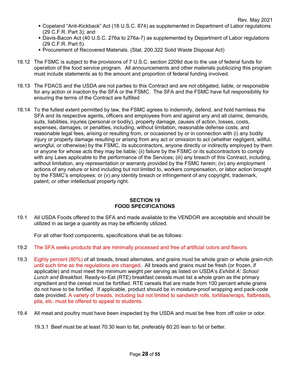- Copeland "Anti-Kickback" Act (18 U.S.C. 874) as supplemented in Department of Labor regulations (29 C.F.R. Part 3); and
- Davis-Bacon Act (40 U.S.C. 276a to 276a-7) as supplemented by Department of Labor regulations (29 C.F.R. Part 5).
- Procurement of Recovered Materials. (Stat. 200.322 Solid Waste Disposal Act)
- 18.12 The FSMC is subject to the provisions of 7 U.S.C. section 2209d due to the use of federal funds for operation of the food service program. All announcements and other materials publicizing this program must include statements as to the amount and proportion of federal funding involved.
- 18.13 The FDACS and the USDA are not parties to this Contract and are not obligated, liable, or responsible for any action or inaction by the SFA or the FSMC. The SFA and the FSMC have full responsibility for ensuring the terms of the Contract are fulfilled
- 18.14 To the fullest extent permitted by law, the FSMC agrees to indemnify, defend, and hold harmless the SFA and its respective agents, officers and employees from and against any and all claims, demands, suits, liabilities, injuries (personal or bodily), property damage, causes of action, losses, costs, expenses, damages, or penalties, including, without limitation, reasonable defense costs, and reasonable legal fees, arising or resulting from, or occasioned by or in connection with (i) any bodily injury or property damage resulting or arising from any act or omission to act (whether negligent, willful, wrongful, or otherwise) by the FSMC, its subcontractors, anyone directly or indirectly employed by them or anyone for whose acts they may be liable; (ii) failure by the FSMC or its subcontractors to comply with any Laws applicable to the performance of the Services; (iii) any breach of this Contract, including, without limitation, any representation or warranty provided by the FSMC herein; (iv) any employment actions of any nature or kind including but not limited to, workers compensation, or labor action brought by the FSMC's employees; or (v) any identity breach or infringement of any copyright, trademark, patent, or other intellectual property right.

#### **SECTION 19 FOOD SPECIFICATIONS**

19.1 All USDA Foods offered to the SFA and made available to the VENDOR are acceptable and should be utilized in as large a quantity as may be efficiently utilized.

For all other food components, specifications shall be as follows:

- 19.2 The SFA seeks products that are minimally processed and free of artificial colors and flavors.
- 19.3 Eighty percent (80%) of all breads, bread alternates, and grains must be whole grain or whole grain-rich until such time as the regulations are changed. All breads and grains must be fresh (or frozen, if applicable) and must meet the minimum weight per serving as listed on USDA's *Exhibit A: School Lunch and Breakfast*. Ready-to-Eat (RTE) breakfast cereals must list a whole grain as the primary ingredient and the cereal must be fortified. RTE cereals that are made from 100 percent whole grains do not have to be fortified. If applicable, product should be in moisture-proof wrapping and pack-code date provided. A variety of breads, including but not limited to sandwich rolls, tortillas/wraps, flatbreads, pita, etc. must be offered to appeal to students.
- 19.4 All meat and poultry must have been inspected by the USDA and must be free from off color or odor.
	- 19.3.1 Beef must be at least 70:30 lean to fat, preferably 80:20 lean to fat or better.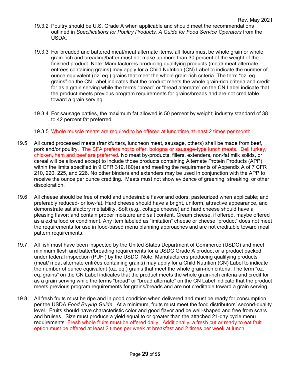- 19.3.2 Poultry should be U.S. Grade A when applicable and should meet the recommendations outlined in *Specifications for Poultry Products, A Guide for Food Service Operators* from the USDA.
- 19.3.3 For breaded and battered meat/meat alternate items, all flours must be whole grain or whole grain-rich and breading/batter must not make up more than 30 percent of the weight of the finished product. Note: Manufacturers producing qualifying products (meat/ meat alternate entrées containing grains) may apply for a Child Nutrition (CN) Label to indicate the number of ounce equivalent (oz. eq.) grains that meet the whole grain-rich criteria. The term "oz. eq. grains" on the CN Label indicates that the product meets the whole grain-rich criteria and credit for as a grain serving while the terms "bread" or "bread alternate" on the CN Label indicate that the product meets previous program requirements for grains/breads and are not creditable toward a grain serving.
- 19.3.4 For sausage patties, the maximum fat allowed is 50 percent by weight; industry standard of 38 to 42 percent fat preferred.
- 19.3.5 Whole muscle meats are required to be offered at lunchtime at least 2 times per month.
- 19.5 All cured processed meats (frankfurters, luncheon meat, sausage, others) shall be made from beef, pork and/or poultry. The SFA prefers not to offer, bologna or sausage-type lunch meats. Deli turkey, chicken, ham and beef are preferred. No meat by-products, fillers, extenders, non-fat milk solids, or cereal will be allowed except to include those products containing Alternate Protein Products (APP) within the limits specified in 9 CFR 319.180(e) and meeting the requirements of Appendix A of 7 CFR 210, 220, 225, and 226. No other binders and extenders may be used in conjunction with the APP to receive the ounce per ounce crediting. Meats must not show evidence of greening, streaking, or other discoloration.
- 19.6 All cheese should be free of mold and undesirable flavor and odors; pasteurized when applicable; and preferably reduced- or low-fat. Hard cheese should have a bright, uniform, attractive appearance, and demonstrate satisfactory meltability. Soft (e.g., cottage cheese) and hard cheese should have a pleasing flavor; and contain proper moisture and salt content. Cream cheese, if offered, maybe offered as a extra food or condiment. Any item labeled as "imitation" cheese or cheese "product" does not meet the requirements for use in food-based menu planning approaches and are not creditable toward meal pattern requirements.
- 19.7 All fish must have been inspected by the United States Department of Commerce (USDC) and meet minimum flesh and batter/breading requirements for a USDC Grade A product or a product packed under federal inspection (PUFI) by the USDC. Note: Manufacturers producing qualifying products (meat/ meat alternate entrées containing grains) may apply for a Child Nutrition (CN) Label to indicate the number of ounce equivalent (oz. eq.) grains that meet the whole grain-rich criteria. The term "oz. eq. grains" on the CN Label indicates that the product meets the whole grain-rich criteria and credit for as a grain serving while the terms "bread" or "bread alternate" on the CN Label indicate that the product meets previous program requirements for grains/breads and are not creditable toward a grain serving.
- 19.8 All fresh fruits must be ripe and in good condition when delivered and must be ready for consumption per the USDA *Food Buying Guide*. At a minimum, fruits must meet the food distributors' second-quality level. Fruits should have characteristic color and good flavor and be well-shaped and free from scars and bruises. Size must produce a yield equal to or greater than the attached 21-day cycle menu requirements. Fresh whole fruits must be offered daily. Additionally, a fresh cut or ready to eat fruit option must be offered at least 2 times per week at breakfast and 2 times per week at lunch.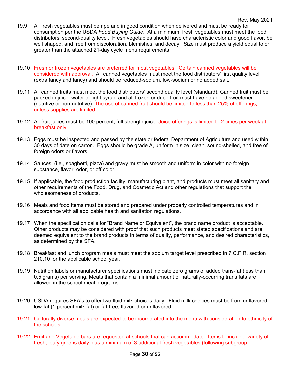- 19.9 All fresh vegetables must be ripe and in good condition when delivered and must be ready for consumption per the USDA *Food Buying Guide*. At a minimum, fresh vegetables must meet the food distributors' second-quality level. Fresh vegetables should have characteristic color and good flavor, be well shaped, and free from discoloration, blemishes, and decay. Size must produce a yield equal to or greater than the attached 21-day cycle menu requirements
- 19.10 Fresh or frozen vegetables are preferred for most vegetables. Certain canned vegetables will be considered with approval. All canned vegetables must meet the food distributors' first quality level (extra fancy and fancy) and should be reduced-sodium, low-sodium or no added salt.
- 19.11 All canned fruits must meet the food distributors' second quality level (standard). Canned fruit must be packed in juice, water or light syrup, and all frozen or dried fruit must have no added sweetener (nutritive or non-nutritive). The use of canned fruit should be limited to less than 25% of offerings, unless supplies are limited.
- 19.12 All fruit juices must be 100 percent, full strength juice. Juice offerings is limited to 2 times per week at breakfast only.
- 19.13 Eggs must be inspected and passed by the state or federal Department of Agriculture and used within 30 days of date on carton. Eggs should be grade A, uniform in size, clean, sound-shelled, and free of foreign odors or flavors.
- 19.14 Sauces, (i.e., spaghetti, pizza) and gravy must be smooth and uniform in color with no foreign substance, flavor, odor, or off color.
- 19.15 If applicable, the food production facility, manufacturing plant, and products must meet all sanitary and other requirements of the Food, Drug, and Cosmetic Act and other regulations that support the wholesomeness of products.
- 19.16 Meals and food items must be stored and prepared under properly controlled temperatures and in accordance with all applicable health and sanitation regulations.
- 19.17 When the specification calls for "Brand Name or Equivalent", the brand name product is acceptable. Other products may be considered with proof that such products meet stated specifications and are deemed equivalent to the brand products in terms of quality, performance, and desired characteristics, as determined by the SFA.
- 19.18 Breakfast and lunch program meals must meet the sodium target level prescribed in 7 C.F.R. section 210.10 for the applicable school year.
- 19.19 Nutrition labels or manufacturer specifications must indicate zero grams of added trans-fat (less than 0.5 grams) per serving. Meats that contain a minimal amount of naturally-occurring trans fats are allowed in the school meal programs.
- 19.20 USDA requires SFA's to offer two fluid milk choices daily. Fluid milk choices must be from unflavored low-fat (1 percent milk fat) or fat-free, flavored or unflavored.
- 19.21 Culturally diverse meals are expected to be incorporated into the menu with consideration to ethnicity of the schools.
- 19.22 Fruit and Vegetable bars are requested at schools that can accommodate. Items to include: variety of fresh, leafy greens daily plus a minimum of 3 additional fresh vegetables (following subgroup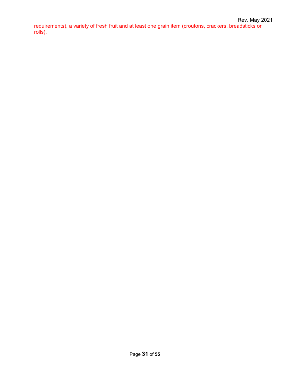requirements), a variety of fresh fruit and at least one grain item (croutons, crackers, breadsticks or rolls).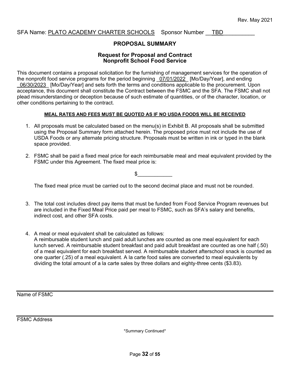#### SFA Name: PLATO ACADEMY CHARTER SCHOOLS Sponsor Number TBD

#### **PROPOSAL SUMMARY**

#### **Request for Proposal and Contract Nonprofit School Food Service**

This document contains a proposal solicitation for the furnishing of management services for the operation of the nonprofit food service programs for the period beginning 07/01/2022 [Mo/Day/Year], and ending 06/30/2023 [Mo/Day/Year] and sets forth the terms and conditions applicable to the procurement. Upon acceptance, this document shall constitute the Contract between the FSMC and the SFA. The FSMC shall not plead misunderstanding or deception because of such estimate of quantities, or of the character, location, or other conditions pertaining to the contract.

#### **MEAL RATES AND FEES MUST BE QUOTED AS IF NO USDA FOODS WILL BE RECEIVED**

- 1. All proposals must be calculated based on the menu(s) in Exhibit B. All proposals shall be submitted using the Proposal Summary form attached herein. The proposed price must not include the use of USDA Foods or any alternate pricing structure. Proposals must be written in ink or typed in the blank space provided.
- 2. FSMC shall be paid a fixed meal price for each reimbursable meal and meal equivalent provided by the FSMC under this Agreement. The fixed meal price is:

 $\frac{1}{2}$ 

The fixed meal price must be carried out to the second decimal place and must not be rounded.

- 3. The total cost includes direct pay items that must be funded from Food Service Program revenues but are included in the Fixed Meal Price paid per meal to FSMC, such as SFA's salary and benefits, indirect cost, and other SFA costs.
- 4. A meal or meal equivalent shall be calculated as follows: A reimbursable student lunch and paid adult lunches are counted as one meal equivalent for each lunch served. A reimbursable student breakfast and paid adult breakfast are counted as one half (.50) of a meal equivalent for each breakfast served. A reimbursable student afterschool snack is counted as one quarter (.25) of a meal equivalent. A la carte food sales are converted to meal equivalents by dividing the total amount of a la carte sales by three dollars and eighty-three cents (\$3.83).

Name of FSMC

FSMC Address

\*Summary Continued\*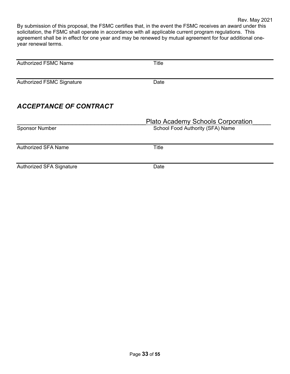By submission of this proposal, the FSMC certifies that, in the event the FSMC receives an award under this solicitation, the FSMC shall operate in accordance with all applicable current program regulations. This agreement shall be in effect for one year and may be renewed by mutual agreement for four additional oneyear renewal terms.

| <b>Authorized FSMC Name</b>      | <b>Title</b>                             |
|----------------------------------|------------------------------------------|
|                                  |                                          |
| <b>Authorized FSMC Signature</b> | Date                                     |
|                                  |                                          |
| <b>ACCEPTANCE OF CONTRACT</b>    |                                          |
|                                  | <b>Plato Academy Schools Corporation</b> |
| <b>Sponsor Number</b>            | School Food Authority (SFA) Name         |
|                                  |                                          |
| <b>Authorized SFA Name</b>       | Title                                    |
|                                  |                                          |
| <b>Authorized SFA Signature</b>  | Date                                     |
|                                  |                                          |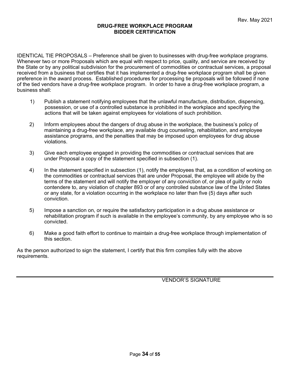#### **DRUG-FREE WORKPLACE PROGRAM BIDDER CERTIFICATION**

IDENTICAL TIE PROPOSALS – Preference shall be given to businesses with drug-free workplace programs. Whenever two or more Proposals which are equal with respect to price, quality, and service are received by the State or by any political subdivision for the procurement of commodities or contractual services, a proposal received from a business that certifies that it has implemented a drug-free workplace program shall be given preference in the award process. Established procedures for processing tie proposals will be followed if none of the tied vendors have a drug-free workplace program. In order to have a drug-free workplace program, a business shall:

- 1) Publish a statement notifying employees that the unlawful manufacture, distribution, dispensing, possession, or use of a controlled substance is prohibited in the workplace and specifying the actions that will be taken against employees for violations of such prohibition.
- 2) Inform employees about the dangers of drug abuse in the workplace, the business's policy of maintaining a drug-free workplace, any available drug counseling, rehabilitation, and employee assistance programs, and the penalties that may be imposed upon employees for drug abuse violations.
- 3) Give each employee engaged in providing the commodities or contractual services that are under Proposal a copy of the statement specified in subsection (1).
- 4) In the statement specified in subsection (1), notify the employees that, as a condition of working on the commodities or contractual services that are under Proposal, the employee will abide by the terms of the statement and will notify the employer of any conviction of, or plea of guilty or nolo contendere to, any violation of chapter 893 or of any controlled substance law of the United States or any state, for a violation occurring in the workplace no later than five (5) days after such conviction.
- 5) Impose a sanction on, or require the satisfactory participation in a drug abuse assistance or rehabilitation program if such is available in the employee's community, by any employee who is so convicted.
- 6) Make a good faith effort to continue to maintain a drug-free workplace through implementation of this section.

As the person authorized to sign the statement, I certify that this firm complies fully with the above requirements.

VENDOR'S SIGNATURE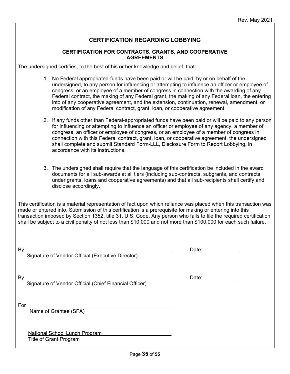### **CERTIFICATION REGARDING LOBBYING**

#### **CERTIFICATION FOR CONTRACTS, GRANTS, AND COOPERATIVE AGREEMENTS**

The undersigned certifies, to the best of his or her knowledge and belief, that:

- 1. No Federal appropriated-funds have been paid or will be paid, by or on behalf of the undersigned, to any person for influencing or attempting to influence an officer or employee of congress, or an employee of a member of congress in connection with the awarding of any Federal contract, the making of any Federal grant, the making of any Federal loan, the entering into of any cooperative agreement, and the extension, continuation, renewal, amendment, or modification of any Federal contract, grant, loan, or cooperative agreement.
- 2. If any funds other than Federal-appropriated funds have been paid or will be paid to any person for influencing or attempting to influence an officer or employee of any agency, a member of congress, an officer or employee of congress, or an employee of a member of congress in connection with this Federal contract, grant, loan, or cooperative agreement, the undersigned shall complete and submit Standard Form-LLL, Disclosure Form to Report Lobbying, in accordance with its instructions.
- 3. The undersigned shall require that the language of this certification be included in the award documents for all sub-awards at all tiers (including sub-contracts, subgrants, and contracts under grants, loans and cooperative agreements) and that all sub-recipients shall certify and disclose accordingly.

This certification is a material representation of fact upon which reliance was placed when this transaction was made or entered into. Submission of this certification is a prerequisite for making or entering into this transaction imposed by Section 1352, title 31, U.S. Code. Any person who fails to file the required certification shall be subject to a civil penalty of not less than \$10,000 and not more than \$100,000 for each such failure.

| By<br>Signature of Vendor Official (Executive Director)        | Date: |
|----------------------------------------------------------------|-------|
| By<br>Signature of Vendor Official (Chief Financial Officer)   | Date: |
| For<br>Name of Grantee (SFA)                                   |       |
| National School Lunch Program<br><b>Title of Grant Program</b> |       |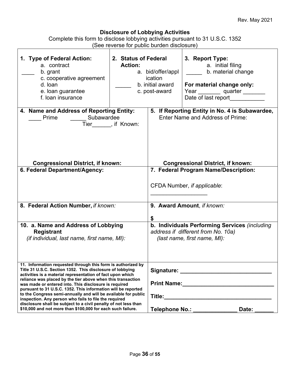#### **Disclosure of Lobbying Activities**

Complete this form to disclose lobbying activities pursuant to 31 U.S.C. 1352 (See reverse for public burden disclosure)

| 1. Type of Federal Action:<br>a. contract<br>b. grant<br>c. cooperative agreement<br>d. loan<br>e. Ioan guarantee<br>f. loan insurance                                                                                                                                                                                                                                                                                                                                                                                                                                                                                                        | 2. Status of Federal<br><b>Action:</b> | a. bid/offer/appl<br>ication<br>b. initial award<br>c. post-award | 3. Report Type:<br>a. initial filing<br>b. material change<br>For material change only:<br>Year _________ quarter _____<br>Date of last report |
|-----------------------------------------------------------------------------------------------------------------------------------------------------------------------------------------------------------------------------------------------------------------------------------------------------------------------------------------------------------------------------------------------------------------------------------------------------------------------------------------------------------------------------------------------------------------------------------------------------------------------------------------------|----------------------------------------|-------------------------------------------------------------------|------------------------------------------------------------------------------------------------------------------------------------------------|
| 4. Name and Address of Reporting Entity:<br>___ Subawardee<br>Prime<br><b>Congressional District, if known:</b>                                                                                                                                                                                                                                                                                                                                                                                                                                                                                                                               | Tier______, if Known:                  |                                                                   | 5. If Reporting Entity in No. 4 is Subawardee,<br><b>Enter Name and Address of Prime:</b><br><b>Congressional District, if known:</b>          |
| 6. Federal Department/Agency:                                                                                                                                                                                                                                                                                                                                                                                                                                                                                                                                                                                                                 |                                        |                                                                   | 7. Federal Program Name/Description:<br>CFDA Number, if applicable:                                                                            |
| 8. Federal Action Number, if known:                                                                                                                                                                                                                                                                                                                                                                                                                                                                                                                                                                                                           |                                        |                                                                   | 9. Award Amount, if known:                                                                                                                     |
| 10. a. Name and Address of Lobbying<br><b>Registrant</b><br>(if individual, last name, first name, MI):                                                                                                                                                                                                                                                                                                                                                                                                                                                                                                                                       |                                        |                                                                   | b. Individuals Performing Services (including<br>address if different from No. 10a)<br>(last name, first name, MI):                            |
| 11. Information requested through this form is authorized by<br>Title 31 U.S.C. Section 1352. This disclosure of lobbying<br>activities is a material representation of fact upon which<br>reliance was placed by the tier above when this transaction<br>was made or entered into. This disclosure is required<br>pursuant to 31 U.S.C. 1352. This information will be reported<br>to the Congress semi-annually and will be available for public<br>inspection. Any person who fails to file the required<br>disclosure shall be subject to a civil penalty of not less than<br>\$10,000 and not more than \$100,000 for each such failure. |                                        |                                                                   | Telephone No.: Vermann Marian<br>Date:                                                                                                         |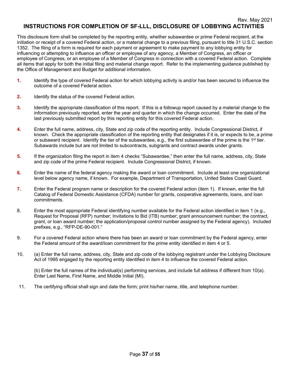This disclosure form shall be completed by the reporting entity, whether subawardee or prime Federal recipient, at the initiation or receipt of a covered Federal action, or a material change to a previous filing, pursuant to title 31 U.S.C. section 1352. The filing of a form is required for each payment or agreement to make payment to any lobbying entity for influencing or attempting to influence an officer or employee of any agency, a Member of Congress, an officer or employee of Congress, or an employee of a Member of Congress in connection with a covered Federal action. Complete all items that apply for both the initial filing and material change report. Refer to the implementing guidance published by the Office of Management and Budget for additional information.

- **1.** Identify the type of covered Federal action for which lobbying activity is and/or has been secured to influence the outcome of a covered Federal action.
- **2.** Identify the status of the covered Federal action.
- **3.** Identify the appropriate classification of this report. If this is a followup report caused by a material change to the information previously reported, enter the year and quarter in which the change occurred. Enter the date of the last previously submitted report by this reporting entity for this covered Federal action.
- **4.** Enter the full name, address, city, State and zip code of the reporting entity. Include Congressional District, if known. Check the appropriate classification of the reporting entity that designates if it is, or expects to be, a prime or subaward recipient. Identify the tier of the subawardee, e.g., the first subawardee of the prime is the 1<sup>st</sup> tier. Subawards include but are not limited to subcontracts, subgrants and contract awards under grants.
- **5.** If the organization filing the report in item 4 checks "Subawardee," then enter the full name, address, city, State and zip code of the prime Federal recipient. Include Congressional District, if known.
- **6.** Enter the name of the federal agency making the award or loan commitment. Include at least one organizational level below agency name, if known. For example, Department of Transportation, United States Coast Guard.
- **7.** Enter the Federal program name or description for the covered Federal action (item 1). If known, enter the full Catalog of Federal Domestic Assistance (CFDA) number for grants, cooperative agreements, loans, and loan commitments.
- 8. Enter the most appropriate Federal identifying number available for the Federal action identified in item 1 (e.g., Request for Proposal (RFP) number; Invitations to Bid (ITB) number; grant announcement number; the contract, grant, or loan award number; the application/proposal control number assigned by the Federal agency). Included prefixes, e.g., "RFP-DE-90-001."
- 9. For a covered Federal action where there has been an award or loan commitment by the Federal agency, enter the Federal amount of the award/loan commitment for the prime entity identified in item 4 or 5.
- 10. (a) Enter the full name, address, city, State and zip code of the lobbying registrant under the Lobbying Disclosure Act of 1995 engaged by the reporting entity identified in item 4 to influence the covered Federal action.

(b) Enter the full names of the individual(s) performing services, and include full address if different from 10(a). Enter Last Name, First Name, and Middle Initial (MI).

11. The certifying official shall sign and date the form; print his/her name, title, and telephone number.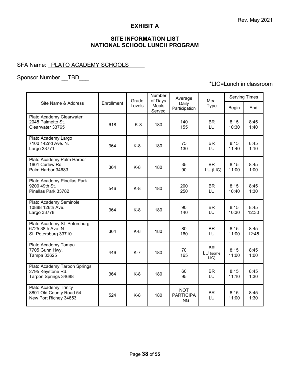### **EXHIBIT A**

## **SITE INFORMATION LIST NATIONAL SCHOOL LUNCH PROGRAM**

## SFA Name: PLATO ACADEMY SCHOOLS

## Sponsor Number \_\_TBD\_\_\_

## \*LIC=Lunch in classroom

|                                                                           |            | Grade  | Number<br>of Days | Average                                       | Meal                          | <b>Serving Times</b> |               |
|---------------------------------------------------------------------------|------------|--------|-------------------|-----------------------------------------------|-------------------------------|----------------------|---------------|
| Site Name & Address                                                       | Enrollment | Levels | Meals<br>Served   | Daily<br>Participation                        | Type                          | Begin                | End           |
| Plato Academy Clearwater<br>2045 Palmetto St.<br>Clearwater 33765         | 618        | $K-8$  | 180               | 140<br>155                                    | <b>BR</b><br>LU               | 8:15<br>10:30        | 8:45<br>1:40  |
| Plato Academy Largo<br>7100 142nd Ave. N.<br>Largo 33771                  | 364        | $K-8$  | 180               | 75<br>130                                     | <b>BR</b><br>LU               | 8:15<br>11:40        | 8:45<br>1:10  |
| Plato Academy Palm Harbor<br>1601 Curlew Rd.<br>Palm Harbor 34683         | 364        | $K-8$  | 180               | 35<br>90                                      | <b>BR</b><br>LU (LIC)         | 8:15<br>11:00        | 8:45<br>1:00  |
| Plato Academy Pinellas Park<br>9200 49th St.<br>Pinellas Park 33782       | 546        | $K-8$  | 180               | 200<br>250                                    | <b>BR</b><br>LU               | 8:15<br>10:40        | 8:45<br>1:30  |
| Plato Academy Seminole<br>10888 126th Ave.<br>Largo 33778                 | 364        | $K-8$  | 180               | 90<br>140                                     | <b>BR</b><br>LU               | 8:15<br>10:30        | 8:45<br>12:30 |
| Plato Academy St. Petersburg<br>6725 38th Ave. N.<br>St. Petersburg 33710 | 364        | $K-8$  | 180               | 80<br>160                                     | <b>BR</b><br>LU               | 8:15<br>11:00        | 8:45<br>12:45 |
| Plato Academy Tampa<br>7705 Gunn Hwy.<br>Tampa 33625                      | 446        | $K-7$  | 180               | 70<br>165                                     | <b>BR</b><br>LU (some<br>LIC) | 8:15<br>11:00        | 8:45<br>1:00  |
| Plato Academy Tarpon Springs<br>2795 Keystone Rd.<br>Tarpon Springs 34688 | 364        | $K-8$  | 180               | 60<br>95                                      | <b>BR</b><br>LU               | 8:15<br>11:10        | 8:45<br>1:30  |
| Plato Academy Trinity<br>8801 Old County Road 54<br>New Port Richey 34653 | 524        | $K-8$  | 180               | <b>NOT</b><br><b>PARTICIPA</b><br><b>TING</b> | <b>BR</b><br>LU               | 8:15<br>11:00        | 8:45<br>1:30  |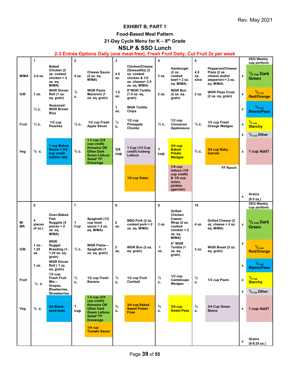## **EXHIBIT B, PART 1**

### **Food-Based Meal Pattern**

**21-Day Cycle Menu for K – 8th Grade**

## **NSLP & SSO Lunch**

#### **2-3 Entrée Options Daily (one meat-free), Fresh Fruit Daily, Cut Fruit 2x per week**

|          | 1                        |                                                                             | $\overline{2}$      |                                                                                                                                | $\mathbf 3$           |                                                                                                             | $\overline{\mathbf{4}}$ |                                                                                         | 5                   |                                                                                     |                           | <b>VEG Weekly</b>                                                    |
|----------|--------------------------|-----------------------------------------------------------------------------|---------------------|--------------------------------------------------------------------------------------------------------------------------------|-----------------------|-------------------------------------------------------------------------------------------------------------|-------------------------|-----------------------------------------------------------------------------------------|---------------------|-------------------------------------------------------------------------------------|---------------------------|----------------------------------------------------------------------|
| M/MA     | 3-4 oz.                  | <b>Baked</b><br>Chicken (2<br>oz. cooked<br>chicken = 2<br>oz. eq.<br>M/MA) | 4 oz.               | <b>Cheese Sauce</b><br>(2 oz. eq.<br>M/MA)                                                                                     | 4.5<br>OZ.            | <b>Chicken/Cheese</b><br>(Quesadilla) (2<br>oz. cooked<br>chicken & 1/2<br>oz. cheese= 2.5<br>oz. eq. M/MA) | 3 oz.                   | Hamburger<br>(2 oz.<br>cooked<br>beef = $2 oz$ .<br>eq. M/MA)                           | 4.5<br>OZ.<br>slice | Pepperoni/Cheese<br>Pizza (2 oz.<br>cheese and/or<br>pepperoni = 2 oz.<br>eq. M/MA) | $\mathbf{x}$              | cup portions<br><sup>1</sup> / <sub>2 cup</sub> Dark<br><b>Green</b> |
| G/B      | 1 oz.                    | <b>WGR Dinner</b><br>Roll (1 oz.<br>eq. grain)                              | $\frac{1}{2}$<br>c. | <b>WGR Pasta</b><br>Macaroni (1<br>oz. eq. grain)                                                                              | 1.5<br>OZ.            | 8"WGR Tortilla<br>(1.5 oz. eq.<br>grain)                                                                    | 2 oz.                   | <b>WGR Bun</b><br>(2 oz. eq.<br>grain)                                                  | 2 oz.               | <b>WGR Pizza Crust</b><br>(2 oz. eq. grain)                                         | x                         | $3/4$ cup<br><b>Red/Orange</b>                                       |
|          | $\frac{1}{2}$ c.         | Seasoned<br><b>WGR Brown</b><br>Rice                                        |                     |                                                                                                                                | $\mathbf{1}$<br>OZ.   | <b>WGR Tortilla</b><br><b>Chips</b>                                                                         |                         |                                                                                         |                     |                                                                                     | $\mathbf{x}$              | $\frac{1}{2}$ cup<br><b>Beans/Peas</b>                               |
| Fruit    | $\frac{1}{2}$ c.         | $1/2$ cup<br>Peaches                                                        | $\frac{1}{2}$ c.    | 1/2 cup Fresh<br><b>Apple Slices</b>                                                                                           | $\frac{1}{2}$<br>c.   | $1/2$ cup<br>Pineapple<br><b>Chunks</b>                                                                     | $\frac{1}{2}$ c.        | $1/2$ cup<br>Cinnamon<br>Applesauce                                                     | $\frac{1}{2}c$ .    | 1/2 cup Fresh<br><b>Orange Wedges</b>                                               | $\boldsymbol{\mathsf{x}}$ | $^{1}/_{2}$ cup<br><b>Starchy</b>                                    |
|          |                          |                                                                             |                     |                                                                                                                                |                       |                                                                                                             |                         |                                                                                         |                     |                                                                                     | x                         | $\frac{1}{2}$ <sub>cup</sub> Other                                   |
| Veg      | $^{3}/_{4}$ C.           | 1 cup Baked<br>Beans = $3/4$<br>cup credit<br>(USDA I-06)                   | $\frac{3}{4}$ C.    | 1.5 cup (3/4<br>cup credit)<br><b>Romaine OR</b><br><b>Other Dark</b><br><b>Green Lettuce</b><br>Salad* FF<br><b>Dressings</b> | 3/4<br>cup            | 1 Cup (1/2 Cup<br>credit) Iceberg<br>Lettuce                                                                | 1<br>cup                | $3/4$ cup<br><b>Baked</b><br><b>Potato</b><br><b>Wedges</b>                             | $\frac{3}{4}$ C.    | 3/4 cup Baby<br><b>Carrots</b>                                                      | x                         | 1 cup Add'l                                                          |
|          |                          |                                                                             |                     |                                                                                                                                |                       | 1/4 cup Salsa                                                                                               |                         | $1/4$ cup<br>lettuce (1/8<br>cup credit)<br>& 1/8 cup<br>onion,<br>pickles<br>(garnish) |                     | FF Ranch                                                                            |                           |                                                                      |
|          |                          |                                                                             |                     |                                                                                                                                |                       |                                                                                                             |                         |                                                                                         |                     |                                                                                     | x                         | Grains                                                               |
|          |                          |                                                                             |                     |                                                                                                                                |                       |                                                                                                             |                         |                                                                                         |                     |                                                                                     |                           |                                                                      |
|          | 6                        |                                                                             | $\overline{7}$      |                                                                                                                                | 8                     |                                                                                                             | 9                       |                                                                                         | 10                  |                                                                                     |                           | (9.5 oz.)<br><b>VEG Weekly</b>                                       |
| M/<br>MА | 4<br>pieces<br>(4 oz.)   | Oven-Baked<br><b>Fish</b><br>Nuggets (4<br>$pieces = 2$<br>oz. eq.<br>M/MA) | 1<br>Cup            | Spaghetti (1/2<br>cup meat<br>sauce $= 2$ oz.<br>eq. M/MA)                                                                     | $\overline{2}$<br>OZ. | BBQ Pork (2 oz.<br>cooked pork $= 2$<br>oz. eq. M/MA)                                                       | 3 oz.                   | Grilled<br>Chicken<br>Caesar<br>Wrap (2 oz.<br>cooked<br>$chicken = 2$<br>oz. eq.       | 4 oz.               | <b>Grilled Cheese (2)</b><br>$oz.$ cheese = 2 oz.<br>eq. M/MA)                      | x                         | cup portions<br>$1/2$ <sub>cup</sub> Dark<br>Green                   |
| G/B      | $1 oz. -$<br>1.25<br>OZ. | <b>WGR</b><br>Nugget<br>Breading (1-<br>1.25 oz. eq.<br>grain)              | $\frac{1}{2}$ c.    | <b>WGR Pasta-</b><br>Spaghetti (1<br>oz. eq. grain)                                                                            | $\mathbf{2}$<br>OZ.   | WGR Bun (2 oz.<br>eq. grain)                                                                                | 1<br>OZ.                | M/MA)<br>6" WGR<br>Tortilla (1<br>oz. eq.<br>grain)                                     | 2 oz.               | WGR Bread (2 oz.<br>eq. grain)                                                      | $\boldsymbol{\mathsf{x}}$ | $3/4$ cup<br><b>Red/Orange</b>                                       |
|          | 1 oz.                    | <b>WGR Dinner</b><br>Roll (1 oz.<br>eq. grain)                              |                     |                                                                                                                                |                       |                                                                                                             |                         |                                                                                         |                     |                                                                                     | x                         | $1/2$ cup<br><b>Beans/Peas</b>                                       |
| Fruit    | $\frac{1}{2}$ c.         | $1/2$ cup<br><b>Fresh Fruit</b><br>Mix-<br>Grapes,                          | $\frac{1}{2}$<br>c. | 1/2 cup Fresh<br><b>Banana</b>                                                                                                 | $\frac{1}{2}$<br>c.   | 1/2 cup Fruit<br>Cocktail                                                                                   | $\frac{1}{2}$<br>С.     | $1/2$ cup<br>Cantaloupe<br>Wedges                                                       | $\frac{1}{2}$<br>c. | 1/2 cup Pears                                                                       | x                         | $\frac{1}{2}$ cup<br><b>Starchy</b>                                  |
|          |                          | Blueberries,<br><b>Strawberries</b>                                         |                     |                                                                                                                                |                       |                                                                                                             |                         |                                                                                         |                     |                                                                                     | x                         | $1/2$ <sub>cup</sub> Other                                           |
| Veg      | $^{3}/_{4}$ C.           | 3/4 Black-<br>eyed peas                                                     | 1<br>cup            | 1.5 cup (3/4<br>cup credit)<br><b>Romaine OR</b><br><b>Other Dark</b><br><b>Green Lettuce</b><br>Salad* FF<br><b>Dressings</b> | $^{3}/_{4}$<br>c.     | 3/4 cup Baked<br><b>Sweet Potato</b><br><b>Fries</b>                                                        | $^{3}/_{4}$<br>c.       | <b>3/4 cup</b><br><b>Sweet Peas</b>                                                     | $^{3}/_{4}$<br>с.   | 3/4 Cup Green<br><b>Beans</b>                                                       | x                         | 1 cup Add'l                                                          |
|          |                          |                                                                             |                     | $1/4$ cup<br><b>Tomato Sauce</b>                                                                                               |                       |                                                                                                             |                         |                                                                                         |                     |                                                                                     | x                         | Grains<br>$(8-8.25 oz.)$                                             |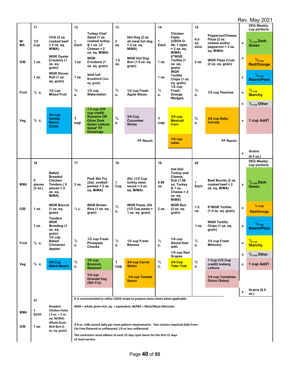|              |                        |                                                                                             |                     |                                                                                                                                |                     |                                                                                           |                     |                                                                                                                          |                     |                                                                                     |                           | <b>Rev. May 2021</b>                       |
|--------------|------------------------|---------------------------------------------------------------------------------------------|---------------------|--------------------------------------------------------------------------------------------------------------------------------|---------------------|-------------------------------------------------------------------------------------------|---------------------|--------------------------------------------------------------------------------------------------------------------------|---------------------|-------------------------------------------------------------------------------------|---------------------------|--------------------------------------------|
|              | 11                     |                                                                                             | 12                  |                                                                                                                                | 13                  |                                                                                           | 14                  |                                                                                                                          | 15                  |                                                                                     |                           | <b>VEG Weekly</b><br>cup portions          |
| M/<br>МA     | 1/2<br>Cup             | Chili (2 oz.<br>cooked beef<br>$= 2$ oz. eq.<br>M/MA)                                       | 1<br>Each           | <b>Turkey Chef</b><br>Salad (1 oz.<br>cooked turkey<br>& 1 oz. LF<br>Cheese = $2$<br>oz. eq. M/MA)                             | 2<br>OZ.            | Hot Dog (2 oz.<br>all meat hot dog<br>$= 2$ oz. eq.<br>M/MA)                              | 1<br>Each           | Chicken<br>Fajita<br>(USDA D-<br>40-1 fajita<br>= 2 oz. eq.<br>M/MA)                                                     | 4.5<br>OZ.<br>slice | Pepperoni/Cheese<br>Pizza (2 oz.<br>cheese and/or<br>pepperoni = 2 oz.<br>eq. M/MA) | $\pmb{\mathsf{x}}$        | $\frac{1}{2}$ <sub>cup</sub> Dark<br>Green |
| G/B          | 1 oz.                  | <b>WGR Oyster</b><br>Crackers (1<br>oz. eq.<br>grain)                                       | 1 oz.               | <b>WGR</b><br><b>Croutons (1</b><br>oz. eq. grain)                                                                             | 1.5<br>OZ.          | <b>WGR Hot Dog</b><br>Bun (1.5 oz. eq.<br>grain)                                          | 1 oz.               | 6"WGR<br>Tortilla (1<br>oz. eq.<br>grain)                                                                                | 2 oz.               | <b>WGR Pizza Crust</b><br>(2 oz. eq. grain)                                         | $\pmb{\mathsf{x}}$        | $3/4$ cup<br><b>Red/Orange</b>             |
|              | 1 oz.                  | <b>WGR Dinner</b><br>Roll (1 oz.<br>eq. grain)                                              | 1 oz.               | <b>WGR Soft</b><br>Breadstick (1oz.<br>eq. grain)                                                                              |                     |                                                                                           | 1 oz.               | WGR<br>Tortilla<br>Chips (1 oz.<br>eq. grain)<br>$1/2$ cup                                                               |                     |                                                                                     | $\mathbf x$               | $1/2$ cup<br><b>Beans/Peas</b>             |
| <b>Fruit</b> | $\frac{1}{2}$ c.       | $1/2$ cup<br><b>Mixed Fruit</b>                                                             | $\frac{1}{2}$<br>c. | $1/2$ cup<br>Watermelon                                                                                                        | $\frac{1}{2}$<br>c. | 1/2 cup Fresh<br><b>Apple Slices</b>                                                      | $\frac{1}{2}$<br>c. | Fresh<br>Orange<br>Wedges                                                                                                | $\frac{1}{2}$<br>c. | 1/2 cup Peaches                                                                     | $\pmb{\mathsf{x}}$        | $^{1/2}$ cup<br><b>Starchy</b>             |
|              |                        |                                                                                             |                     |                                                                                                                                |                     |                                                                                           |                     |                                                                                                                          |                     |                                                                                     | $\pmb{\mathsf{x}}$        | $\frac{1}{2}$ <sub>cup</sub> Other         |
| Veg          | $\frac{3}{4}$ C.       | $3/4$ cup<br><b>Variety</b><br><b>Beans</b><br>(Chili)                                      | 1<br>cup            | 1.5 cup (3/4<br>cup credit)<br><b>Romaine OR</b><br><b>Other Dark</b><br><b>Green Lettuce</b><br>Salad* FF<br><b>Dressings</b> | $^{3}/_{4}$<br>c.   | <b>3/4 Cup</b><br><b>Cucumber</b><br><b>Sticks</b>                                        | 1<br>cup            | $3/4$ cup<br><b>Mexicali</b><br>Corn                                                                                     | $^{3}/_{4}$<br>c.   | 3/4 cup Baby<br><b>Carrots</b>                                                      | $\pmb{\chi}$              | 1 cup Add'l                                |
|              |                        |                                                                                             |                     |                                                                                                                                |                     | FF Ranch                                                                                  |                     | $1/4$ cup<br>salsa                                                                                                       |                     | FF Ranch                                                                            |                           |                                            |
|              |                        |                                                                                             |                     |                                                                                                                                |                     |                                                                                           |                     |                                                                                                                          |                     |                                                                                     | $\pmb{\chi}$              | Grains<br>(9.5 oz.)                        |
|              | 16                     |                                                                                             | 17                  |                                                                                                                                | 18                  |                                                                                           | 19                  |                                                                                                                          | 20                  |                                                                                     |                           | <b>VEG Weekly</b><br>cup portions          |
| M/MA         | 5<br>pieces<br>(3 oz.) | <b>Baked</b><br><b>Breaded</b><br>Chicken<br>Tenders (5<br>$pieces = 2$<br>oz. eq.<br>M/MA) | 2 oz.               | <b>Pork Stir Fry</b><br>(2oz. cooked<br>porked = $2 oz$ .<br>eq. M/MA)                                                         | 1<br>Cup            | Ziti- (1/2 Cup<br>turkey meat<br>sauce $= 2$ oz.<br>eq. M/MA)                             | 4.66<br>OZ.         | <b>Hot Deli</b><br><b>Turkey and</b><br>Cheese<br>Sub (1.66<br>oz. Turkey<br>& 1 oz.<br>Cheese = $2$<br>oz. eq.<br>M/MA) | 1<br>Each           | Beef Burrito (2 oz.<br>$codeed beef = 2$<br>oz. eq. M/MA)                           | $\pmb{\mathsf{x}}$        | $\frac{1}{2}$ <sub>cup</sub> Dark<br>Green |
| G/B          | 1 oz.                  | <b>WGR Biscuit</b><br>(1 oz. eq.<br>grain)                                                  | $\frac{1}{2}$ c.    | <b>WGR Brown</b><br>Rice (1 oz. eq.<br>grain)                                                                                  | $\frac{1}{2}$<br>c. | <b>WGR Pasta-Ziti</b><br>$(1/2$ Cup pasta =<br>1 oz. eq. grain)                           | 2 oz.               | <b>WGR Bun</b><br>(2 oz. eq.<br>grain)                                                                                   | 1.5<br>OZ.          | 8"WGR Tortilla<br>(1.5 oz. eq. grain)                                               | $\pmb{\mathsf{x}}$        | $\frac{3}{4}$ cup<br><b>Red/Orange</b>     |
|              | 1 oz.                  | <b>Tenders</b><br>WGR<br><b>Breading (1</b><br>oz. eq.<br>grain)                            |                     |                                                                                                                                |                     |                                                                                           |                     |                                                                                                                          | 1 oz.               | <b>WGR Tortilla</b><br>Chips (1 oz. eq.<br>grain)                                   | $\boldsymbol{\mathsf{x}}$ | $\frac{1}{2}$ cup<br><b>Beans/Peas</b>     |
| Fruit        | $\frac{1}{2}$ c.       | $1/2$ cup<br><b>Baked</b><br>Cinnamon<br>Apples                                             | $\frac{1}{2}$<br>c. | 1/2 cup Fresh<br>Pineapple<br>Chunks                                                                                           | $\frac{1}{2}$<br>c. | 1/2 cup Fresh<br>Banana                                                                   | $\frac{1}{2}$<br>c. | $1/4$ cup<br><b>Sliced Kiwi</b><br>with                                                                                  | $\frac{1}{2}$<br>c. | 1/2 cup Fresh<br>Melon(s)                                                           | $\pmb{\mathsf{x}}$        | $\frac{1}{2}$ cup<br><b>Starchy</b>        |
|              |                        |                                                                                             |                     |                                                                                                                                |                     |                                                                                           |                     | 1/4 cup Red<br>Grapes                                                                                                    |                     |                                                                                     | x                         | $\frac{1}{2}$ <sub>cup</sub> Other         |
| Veg          | $\frac{3}{4}$ C.       | <b>3/4 Cup</b><br><b>Black Beans</b>                                                        | $^{3}/_{4}$<br>c.   | $1/2$ cup<br>Broccoli,<br><b>Steamed</b>                                                                                       | 1<br>cup            | 3/4 cup Carrot<br><b>Sticks</b>                                                           | $^{3}/_{4}$<br>c.   | <b>3/4 Cup</b><br><b>Tater Tots</b>                                                                                      | $^{3}/_{4}$<br>c.   | 1 Cup (1/2 Cup)<br>credit) Iceberg<br>Lettuce                                       | x                         | 1 cup Add'l                                |
|              |                        |                                                                                             |                     | $1/4$ cup<br><b>Oriental Veg</b><br>(Stir Fry)                                                                                 |                     | 1/4 cup Tomato<br><b>Sauce</b>                                                            |                     |                                                                                                                          |                     | 1/4 cup Tomatoes,<br><b>Onion (Salsa)</b>                                           |                           |                                            |
|              |                        |                                                                                             |                     |                                                                                                                                |                     |                                                                                           |                     |                                                                                                                          |                     |                                                                                     | $\pmb{\mathsf{x}}$        | Grains (8.5<br>0Z.)                        |
|              | 21                     |                                                                                             |                     |                                                                                                                                |                     | It is recommended to utilize USDA recipe to prepare menu items when applicable.           |                     |                                                                                                                          |                     |                                                                                     |                           |                                            |
| M/MA         | 1<br>Each              | <b>Breaded</b><br><b>Chicken Patty</b><br>$(3 oz. = 2 oz.$<br>eq. M/MA)                     |                     |                                                                                                                                |                     | WGR = whole grain-rich, eq. = equivalent, M/MA = Meat/Meat Alternate                      |                     |                                                                                                                          |                     |                                                                                     |                           |                                            |
| G/B          | 1 oz.                  | <b>Whole Grain</b><br>Rich Bun (1                                                           |                     | Fat Free flavored or unflavored; 1% or less unflavored.                                                                        |                     | A 8 oz. milk served daily per meal pattern requirements. Two choices required daily from: |                     |                                                                                                                          |                     |                                                                                     |                           |                                            |
|              |                        | oz. eq. grain)                                                                              |                     | of meal service.                                                                                                               |                     | The contractor must adhere to each 21-day cycle menu for the first 21 days                |                     |                                                                                                                          |                     |                                                                                     |                           |                                            |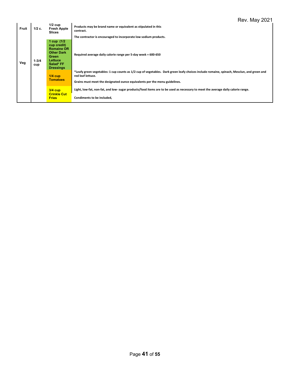| Fruit | 1/2c.            | $1/2$ cup<br><b>Fresh Apple</b><br><b>Slices</b>                                                                                   | Products may be brand name or equivalent as stipulated in this<br>contract.<br>The contractor is encouraged to incorporate low sodium products.                                                                                              |
|-------|------------------|------------------------------------------------------------------------------------------------------------------------------------|----------------------------------------------------------------------------------------------------------------------------------------------------------------------------------------------------------------------------------------------|
| Veg   | $1 - 3/4$<br>cup | 1 cup $(1/2)$<br>cup credit)<br><b>Romaine OR</b><br><b>Other Dark</b><br><b>Green</b><br>Lettuce<br>Salad* FF<br><b>Dressings</b> | Required average daily calorie range per 5-day week = 600-650                                                                                                                                                                                |
|       |                  | $1/4$ cup<br><b>Tomatoes</b>                                                                                                       | *Leafy green vegetables: 1 cup counts as 1/2 cup of vegetables. Dark green leafy choices include romaine, spinach, Mesclun, and green and<br>red leaf lettuce.<br>Grains must meet the designated ounce equivalents per the menu guidelines. |
|       |                  | $3/4$ cup<br><b>Crinkle Cut</b><br><b>Fries</b>                                                                                    | Light, low-fat, non-fat, and low- sugar products/food items are to be used as necessary to meet the average daily calorie range.<br>Condiments to be included.                                                                               |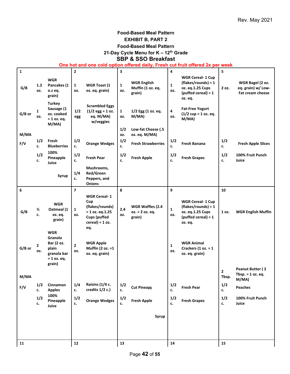#### **Food-Based Meal Pattern EXHIBIT B, PART 2 Food-Based Meal Pattern 21-Day Cycle Menu for K – 12th Grade**

## **SBP & SSO Breakfast**

**One hot and one cold option offered daily, Fresh cut fruit offered 2x per week**

| $\mathbf{1}$ |                     |                                                                                        | $\mathbf 2$           |                                                                                                                        | 3                   |                                                   | 4                   |                                                                                                           | 5                                |                                                                   |
|--------------|---------------------|----------------------------------------------------------------------------------------|-----------------------|------------------------------------------------------------------------------------------------------------------------|---------------------|---------------------------------------------------|---------------------|-----------------------------------------------------------------------------------------------------------|----------------------------------|-------------------------------------------------------------------|
| G/B          | 1.2<br>OZ.          | <b>WGR</b><br>Pancakes (1<br>o.z eq.<br>grain)                                         | $\mathbf{1}$<br>OZ.   | <b>WGR Toast (1</b><br>oz. eq. grain)                                                                                  | $\mathbf{1}$<br>oz. | <b>WGR English</b><br>Muffin (1 oz. eq.<br>grain) | $\mathbf{1}$<br>OZ. | <b>WGR Cereal- 1 Cup</b><br>$(flakes/rounds) = 1$<br>oz. eq.1.25 Cups<br>$(puffed cereal) = 1$<br>oz. eq. | 2 oz.                            | WGR Bagel (2 oz.<br>eq. grain) w/ Low-<br><b>Fat cream cheese</b> |
| G/B or       | $\mathbf{1}$<br>OZ. | <b>Turkey</b><br>Sausage (1<br>oz. cooked<br>$= 1$ oz. eq.<br>M/MA)                    | 1/2<br>egg            | <b>Scrambled Eggs</b><br>$(1/2$ egg = 1 oz.<br>eq. M/MA)<br>w/veggies                                                  | $\mathbf{1}$<br>oz. | 1/2 Egg (1 oz. eq.<br>M/MA)                       | 4<br>OZ.            | <b>Fat-Free Yogurt</b><br>$(1/2$ cup = 1 oz. eq.<br>M/MA)                                                 |                                  |                                                                   |
| M/MA         |                     |                                                                                        |                       |                                                                                                                        | 1/2<br>OZ.          | Low-fat Cheese (.5<br>oz. eq. M/MA)               |                     |                                                                                                           |                                  |                                                                   |
| F/V          | 1/2<br>c.           | Fresh<br><b>Blueberries</b>                                                            | 1/2<br>c.             | <b>Orange Wedges</b>                                                                                                   | 1/2<br>c.           | <b>Fresh Strawberries</b>                         | 1/2<br>c.           | <b>Fresh Banana</b>                                                                                       | 1/2<br>c.                        | <b>Fresh Apple Slices</b>                                         |
|              | 1/2<br>c.           | 100%<br>Pineapple<br>Juice                                                             | 1/2<br>c.             | <b>Fresh Pear</b>                                                                                                      | 1/2<br>c.           | <b>Fresh Apple</b>                                | 1/2<br>c.           | <b>Fresh Grapes</b>                                                                                       | 1/2<br>c.                        | 100% Fruit Punch<br>Juice                                         |
|              |                     | Syrup                                                                                  | 1/4<br>c.             | Mushrooms,<br>Red/Green<br>Peppers, and<br><b>Onions</b>                                                               |                     |                                                   |                     |                                                                                                           |                                  |                                                                   |
| 6            |                     |                                                                                        | $\overline{7}$        |                                                                                                                        | 8                   |                                                   | 9                   |                                                                                                           | 10                               |                                                                   |
| G/B          | $\frac{1}{2}$<br>c. | <b>WGR</b><br>Oatmeal (1<br>oz. eq.<br>grain)                                          | $\mathbf{1}$<br>OZ.   | <b>WGR Cereal-1</b><br>Cup<br>(flakes/rounds)<br>$= 1$ oz. eq.1.25<br><b>Cups (puffed</b><br>$cereal$ ) = 1 oz.<br>eq. | $2.4$<br>OZ.        | WGR Waffles (2.4<br>oz. = 2 oz. eq.<br>grain)     | $\mathbf{1}$<br>OZ. | <b>WGR Cereal- 1 Cup</b><br>$(flakes/rounds) = 1$<br>oz. eq.1.25 Cups<br>$(puffed cereal) = 1$<br>oz. eq. | 1 oz.                            | <b>WGR English Muffin</b>                                         |
| G/B or       | $\mathbf{2}$<br>OZ. | <b>WGR</b><br>Granola<br>Bar (2 oz.<br>plain<br>granola bar<br>$= 1$ oz. eq.<br>grain) | $\overline{2}$<br>OZ. | <b>WGR Apple</b><br>Muffin (2 oz. = 1<br>oz. eq. grain)                                                                |                     |                                                   | $\mathbf{1}$<br>OZ. | <b>WGR Animal</b><br>Crackers $(1 oz. = 1)$<br>oz. eq. grain)                                             |                                  |                                                                   |
| M/MA         |                     |                                                                                        |                       |                                                                                                                        |                     |                                                   |                     |                                                                                                           | $\overline{\mathbf{2}}$<br>Tbsp. | Peanut Butter (2<br>Tbsp. $= 1$ oz. eq.<br>M/MA)                  |
| F/V          | 1/2<br>c.           | Cinnamon<br><b>Apples</b>                                                              | 1/4<br>c.             | Raisins (1/4 c.<br>credits 1/2 c.)                                                                                     | 1/2<br>c.           | <b>Cut Pineapp</b>                                | 1/2<br>c.           | <b>Fresh Pear</b>                                                                                         | 1/2<br>c.                        | Peaches                                                           |
|              | $1/2$<br>c.         | 100%<br>Pineapple<br>Juice                                                             | 1/2<br>c.             | <b>Orange Wedges</b>                                                                                                   | 1/2<br>c.           | <b>Fresh Apple</b>                                | 1/2<br>c.           | <b>Fresh Grapes</b>                                                                                       | 1/2<br>c.                        | 100% Fruit Punch<br>Juice                                         |
|              |                     |                                                                                        |                       |                                                                                                                        |                     | Syrup                                             |                     |                                                                                                           |                                  |                                                                   |
|              |                     |                                                                                        |                       |                                                                                                                        |                     |                                                   |                     |                                                                                                           |                                  |                                                                   |
| 11           |                     |                                                                                        | 12                    |                                                                                                                        | 13                  |                                                   | 14                  |                                                                                                           | 15                               |                                                                   |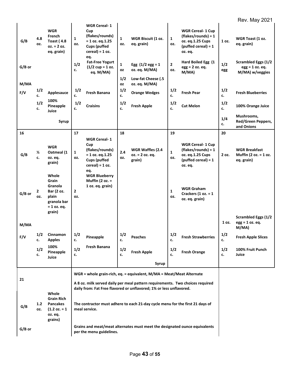## Rev. May 2021

|        |                     |                                                                                         |                     |                                                                                                                        |                           |                                                                                                                                                      |                     |                                                                                                           |            | . <u>.</u> .                                                       |
|--------|---------------------|-----------------------------------------------------------------------------------------|---------------------|------------------------------------------------------------------------------------------------------------------------|---------------------------|------------------------------------------------------------------------------------------------------------------------------------------------------|---------------------|-----------------------------------------------------------------------------------------------------------|------------|--------------------------------------------------------------------|
| G/B    | 4.8<br>OZ.          | <b>WGR</b><br>French<br><b>Toast (4.8</b><br>$oz. = 2 oz.$<br>eq. grain)                | $\mathbf{1}$<br>OZ. | <b>WGR Cereal-1</b><br>Cup<br>(flakes/rounds)<br>$= 1$ oz. eq.1.25<br><b>Cups (puffed</b><br>$cereal$ ) = 1 oz.<br>eq. | $\mathbf{1}$<br>OZ.       | WGR Biscuit (1 oz.<br>eq. grain)                                                                                                                     | $\mathbf{1}$<br>OZ. | <b>WGR Cereal- 1 Cup</b><br>$(flakes/rounds) = 1$<br>oz. eq.1.25 Cups<br>$(puffed cereal) = 1$<br>oz. eq. | 1 oz.      | WGR Toast (1 oz.<br>eq. grain)                                     |
| G/B or |                     |                                                                                         | 1/2<br>c.           | <b>Fat-Free Yogurt</b><br>$(1/2 \text{ cup} = 1 \text{ oz}.$<br>eq. M/MA)                                              | $\mathbf{1}$<br><b>OZ</b> | Egg $(1/2$ egg = 1<br>oz. eq. M/MA)                                                                                                                  | $\mathbf{2}$<br>OZ. | Hard Boiled Egg (1<br>$egg = 2 oz. eq.$<br>M/MA)                                                          | 1/2<br>egg | <b>Scrambled Eggs (1/2</b><br>$egg = 1$ oz. eq.<br>M/MA) w/veggies |
| M/MA   |                     |                                                                                         |                     |                                                                                                                        | 1/2<br>OZ                 | Low-fat Cheese (.5<br>oz. eq. M/MA)                                                                                                                  |                     |                                                                                                           |            |                                                                    |
| F/V    | 1/2<br>c.           | Applesauce                                                                              | $1/2$<br>c.         | Fresh Banana                                                                                                           | 1/2<br>c.                 | <b>Orange Wedges</b>                                                                                                                                 | 1/2<br>c.           | <b>Fresh Pear</b>                                                                                         | 1/2<br>c.  | <b>Fresh Blueberries</b>                                           |
|        | 1/2<br>c.           | 100%<br>Pineapple<br>Juice                                                              | 1/2<br>c.           | <b>Craisins</b>                                                                                                        | 1/2<br>c.                 | <b>Fresh Apple</b>                                                                                                                                   | 1/2<br>c.           | <b>Cut Melon</b>                                                                                          | 1/2<br>c.  | 100% Orange Juice                                                  |
|        |                     | Syrup                                                                                   |                     |                                                                                                                        |                           |                                                                                                                                                      |                     |                                                                                                           | 1/4<br>c.  | Mushrooms,<br>Red/Green Peppers,<br>and Onions                     |
| 16     |                     |                                                                                         | 17                  | <b>WGR Cereal-1</b>                                                                                                    | 18                        |                                                                                                                                                      | 19                  |                                                                                                           | 20         |                                                                    |
| G/B    | $\frac{1}{2}$<br>c. | <b>WGR</b><br>Oatmeal (1<br>oz. eq.<br>grain)                                           | $\mathbf{1}$<br>OZ. | Cup<br>(flakes/rounds)<br>$= 1$ oz. eq.1.25<br><b>Cups (puffed</b><br>$cereal$ ) = 1 oz.                               | 2.4<br>OZ.                | <b>WGR Waffles (2.4</b><br>oz. = 2 oz. eq.<br>grain)                                                                                                 | $\mathbf{1}$<br>OZ. | <b>WGR Cereal- 1 Cup</b><br>$(flakes/rounds) = 1$<br>oz. eq.1.25 Cups<br>$(puffed cereal) = 1$<br>oz. eq. | 2 oz.      | <b>WGR Breakfast</b><br>Muffin (2 oz. = 1 oz.<br>eq. grain)        |
| G/B or | $\mathbf{2}$<br>OZ. | Whole<br>Grain<br><b>Granola</b><br>Bar (2 oz.<br>plain<br>granola bar<br>$= 1$ oz. eq. | $\mathbf{2}$<br>OZ. | eq.<br><b>WGR Blueberry</b><br>Muffin (2 oz. $=$<br>1 oz. eq. grain)                                                   |                           |                                                                                                                                                      | $\mathbf{1}$<br>OZ. | <b>WGR Graham</b><br>Crackers $(1 oz. = 1)$<br>oz. eq. grain)                                             |            |                                                                    |
| M/MA   |                     | grain)                                                                                  |                     |                                                                                                                        |                           |                                                                                                                                                      |                     |                                                                                                           | 1 oz.      | <b>Scrambled Eggs (1/2</b><br>$egg = 1 oz. eq.$<br>M/MA)           |
| F/V    | 1/2<br>c.           | Cinnamon<br><b>Apples</b>                                                               | 1/2<br>c.           | Pineapple                                                                                                              | 1/2<br>c.                 | Peaches                                                                                                                                              | 1/2<br>c.           | <b>Fresh Strawberries</b>                                                                                 | 1/2<br>c.  | <b>Fresh Apple Slices</b>                                          |
|        | 1/2<br>c.           | 100%<br>Pineapple<br>Juice                                                              | 1/2<br>c.           | Fresh Banana                                                                                                           | 1/2<br>c.                 | <b>Fresh Apple</b>                                                                                                                                   | 1/2<br>c.           | <b>Fresh Orange</b>                                                                                       | 1/2<br>c.  | 100% Fruit Punch<br>Juice                                          |
|        |                     |                                                                                         |                     |                                                                                                                        |                           | Syrup                                                                                                                                                |                     |                                                                                                           |            |                                                                    |
| 21     |                     |                                                                                         |                     |                                                                                                                        |                           | WGR = whole grain-rich, eq. = equivalent, M/MA = Meat/Meat Alternate                                                                                 |                     |                                                                                                           |            |                                                                    |
|        |                     | Whole                                                                                   |                     |                                                                                                                        |                           | A 8 oz. milk served daily per meal pattern requirements. Two choices required<br>daily from: Fat Free flavored or unflavored; 1% or less unflavored. |                     |                                                                                                           |            |                                                                    |
| G/B    | 1.2<br>OZ.          | <b>Grain Rich</b><br>Pancakes<br>$(1.2 oz. = 1)$<br>oz. eq.<br>grains)                  |                     | The contractor must adhere to each 21-day cycle menu for the first 21 days of<br>meal service.                         |                           |                                                                                                                                                      |                     |                                                                                                           |            |                                                                    |
| G/B or |                     |                                                                                         |                     | per the menu guidelines.                                                                                               |                           | Grains and meat/meat alternates must meet the designated ounce equivalents                                                                           |                     |                                                                                                           |            |                                                                    |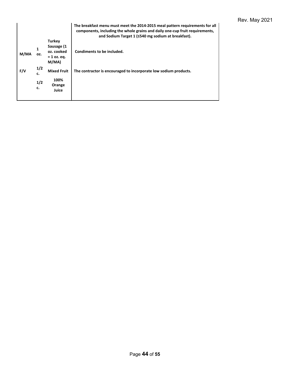| <b>Turkey</b><br>Sausage (1<br>oz. cooked<br>Condiments to be included.<br>M/MA<br>OZ.<br>$= 1$ oz. eq.<br>M/MA<br>1/2<br>F/V<br><b>Mixed Fruit</b><br>The contractor is encouraged to incorporate low sodium products.<br>c. |  | The breakfast menu must meet the 2014-2015 meal pattern requirements for all<br>components, including the whole grains and daily one-cup fruit requirements,<br>and Sodium Target 1 (≤540 mg sodium at breakfast). |
|-------------------------------------------------------------------------------------------------------------------------------------------------------------------------------------------------------------------------------|--|--------------------------------------------------------------------------------------------------------------------------------------------------------------------------------------------------------------------|
|                                                                                                                                                                                                                               |  |                                                                                                                                                                                                                    |
|                                                                                                                                                                                                                               |  |                                                                                                                                                                                                                    |
|                                                                                                                                                                                                                               |  |                                                                                                                                                                                                                    |
| 100%<br>1/2<br>Orange<br>c.<br>Juice                                                                                                                                                                                          |  |                                                                                                                                                                                                                    |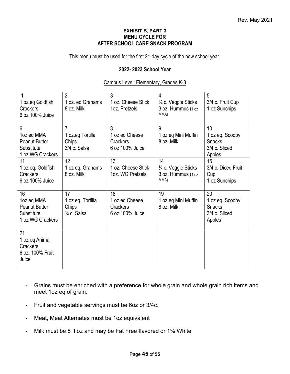#### **EXHIBIT B, PART 3 MENU CYCLE FOR AFTER SCHOOL CARE SNACK PROGRAM**

This menu must be used for the first 21-day cycle of the new school year.

#### **2022- 2023 School Year**

#### Campus Level: Elementary, Grades K-8

| 1 oz.eq Goldfish<br><b>Crackers</b><br>6 oz 100% Juice                     | $\overline{2}$<br>1 oz. eq Grahams<br>8 oz. Milk           | 3<br>1 oz. Cheese Stick<br>1oz. Pretzels            | 4<br>3⁄4 c. Veggie Sticks<br>3 oz. Hummus (1 oz<br>MMA)  | 5<br>3/4 c. Fruit Cup<br>1 oz Sunchips                            |
|----------------------------------------------------------------------------|------------------------------------------------------------|-----------------------------------------------------|----------------------------------------------------------|-------------------------------------------------------------------|
| 6<br>1oz eq MMA<br><b>Peanut Butter</b><br>Substitute<br>1 oz WG Crackers  | 7<br>1 oz.eq Tortilla<br>Chips<br>3/4 c. Salsa             | 8<br>1 oz eq Cheese<br>Crackers<br>6 oz 100% Juice  | 9<br>1 oz eq Mini Muffin<br>8 oz. Milk                   | 10<br>1 oz eq. Scooby<br><b>Snacks</b><br>3/4 c. Sliced<br>Apples |
| 11<br>1 oz eq. Goldfish<br><b>Crackers</b><br>6 oz 100% Juice              | 12<br>1 oz eq. Grahams<br>8 oz. Milk                       | 13<br>1 oz. Cheese Stick<br>1oz. WG Pretzels        | 14<br>3/4 c. Veggie Sticks<br>3 oz. Hummus (1 oz<br>MMA) | 15<br>3/4 c. Diced Fruit<br>Cup<br>1 oz Sunchips                  |
| 16<br>1oz eq MMA<br><b>Peanut Butter</b><br>Substitute<br>1 oz WG Crackers | 17<br>1 oz eq. Tortilla<br>Chips<br>$\frac{3}{4}$ c. Salsa | 18<br>1 oz eq Cheese<br>Crackers<br>6 oz 100% Juice | 19<br>1 oz eq Mini Muffin<br>8 oz. Milk                  | 20<br>1 oz eq. Scooby<br><b>Snacks</b><br>3/4 c. Sliced<br>Apples |
| 21<br>1 oz eq Animal<br>Crackers<br>6 oz. 100% Fruit<br>Juice              |                                                            |                                                     |                                                          |                                                                   |

- Grains must be enriched with a preference for whole grain and whole grain rich items and meet 1oz eq of grain.
- Fruit and vegetable servings must be 6oz or 3/4c.
- Meat, Meat Alternates must be 1oz equivalent
- Milk must be 8 fl oz and may be Fat Free flavored or 1% White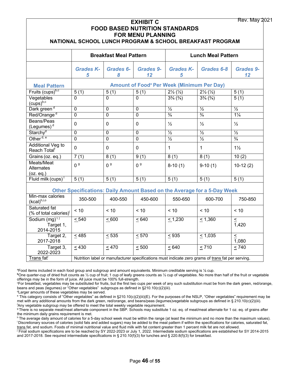| <b>Rev. May 2021</b><br><b>EXHIBIT C</b><br><b>FOOD BASED NUTRITION STANDARDS</b><br><b>FOR MENU PLANNING</b><br>NATIONAL SCHOOL LUNCH PROGRAM & SCHOOL BREAKFAST PROGRAM |                                                                                                   |                               |                   |                                                              |                                                                                 |                              |  |  |  |  |
|---------------------------------------------------------------------------------------------------------------------------------------------------------------------------|---------------------------------------------------------------------------------------------------|-------------------------------|-------------------|--------------------------------------------------------------|---------------------------------------------------------------------------------|------------------------------|--|--|--|--|
|                                                                                                                                                                           |                                                                                                   | <b>Breakfast Meal Pattern</b> |                   | <b>Lunch Meal Pattern</b>                                    |                                                                                 |                              |  |  |  |  |
|                                                                                                                                                                           | <b>Grades K-</b><br>5                                                                             | <b>Grades 6-</b><br>8         | Grades 9-<br>12   | <b>Grades K-</b><br>5                                        | Grades 6-8                                                                      | <b>Grades 9-</b><br>12       |  |  |  |  |
| <b>Meal Pattern</b>                                                                                                                                                       |                                                                                                   |                               |                   | <b>Amount of Food<sup>ª</sup> Per Week (Minimum Per Day)</b> |                                                                                 |                              |  |  |  |  |
| Fruits (cups) <sup>b,c</sup>                                                                                                                                              | 5(1)                                                                                              | 5(1)                          | 5(1)              | $2\frac{1}{2}(\frac{1}{2})$                                  | $2\frac{1}{2}(\frac{1}{2})$                                                     | 5(1)                         |  |  |  |  |
| Vegetables<br>$(cups)^{b,c}$                                                                                                                                              | $\mathbf 0$                                                                                       | $\mathbf 0$                   | $\mathbf{0}$      | $3\frac{3}{4}$ $\left(\frac{3}{4}\right)$                    | $3\frac{3}{4}$ $\left(\frac{3}{4}\right)$                                       | 5(1)                         |  |  |  |  |
| Dark green <sup>d</sup>                                                                                                                                                   | 0                                                                                                 | 0                             | 0                 | $\frac{1}{2}$                                                | $\frac{1}{2}$                                                                   | $\frac{1}{2}$                |  |  |  |  |
| Red/Orange <sup>d</sup>                                                                                                                                                   | $\mathbf 0$                                                                                       | $\mathbf 0$                   | $\overline{0}$    | $\frac{3}{4}$                                                | $\frac{3}{4}$                                                                   | $1\frac{1}{4}$               |  |  |  |  |
| Beans/Peas<br>(Legumes) <sup>d</sup>                                                                                                                                      | $\mathbf 0$                                                                                       | $\mathbf 0$                   | 0                 | $\frac{1}{2}$                                                | $\frac{1}{2}$                                                                   | $\frac{1}{2}$                |  |  |  |  |
| Starchy <sup>d</sup>                                                                                                                                                      | $\mathbf 0$                                                                                       | 0                             | $\mathbf 0$       | $\frac{1}{2}$                                                | $\frac{1}{2}$                                                                   | $\frac{1}{2}$                |  |  |  |  |
| Other <sup>d, e</sup>                                                                                                                                                     | $\overline{0}$                                                                                    | $\overline{0}$                | $\overline{0}$    | $\frac{1}{2}$                                                | $\frac{1}{2}$                                                                   | $\frac{3}{4}$                |  |  |  |  |
| Additional Veg to<br>Reach Total <sup>f</sup>                                                                                                                             | $\overline{0}$                                                                                    | $\mathbf 0$                   | $\mathbf 0$       | $\mathbf{1}$                                                 | $\mathbf{1}$                                                                    | $1\frac{1}{2}$               |  |  |  |  |
| Grains (oz. eq.)                                                                                                                                                          | 7(1)                                                                                              | 8(1)                          | 9(1)              | 8(1)                                                         | 8(1)                                                                            | 10(2)                        |  |  |  |  |
| Meats/Meat<br>Alternates<br>(oz. eq.)                                                                                                                                     | 0 <sup>9</sup>                                                                                    | 0 <sup>9</sup>                | 0 <sup>9</sup>    | $8-10(1)$                                                    | $9-10(1)$                                                                       | $10-12(2)$                   |  |  |  |  |
| Fluid milk $(cups)$ <sup>1</sup>                                                                                                                                          | 5(1)                                                                                              | 5(1)                          | $\overline{5(1)}$ | 5(1)                                                         | $\overline{5(1)}$                                                               | 5(1)                         |  |  |  |  |
|                                                                                                                                                                           |                                                                                                   |                               |                   |                                                              | <b>Other Specifications: Daily Amount Based on the Average for a 5-Day Week</b> |                              |  |  |  |  |
| Min-max calories<br>(kcal) <sup>h,i,o</sup>                                                                                                                               | 350-500                                                                                           | 400-550                       | 450-600           | 550-650                                                      | 600-700                                                                         | 750-850                      |  |  |  |  |
| Saturated fat<br>(% of total calories) <sup>i</sup>                                                                                                                       | < 10                                                                                              | < 10                          | < 10              | < 10                                                         | < 10                                                                            | < 10                         |  |  |  |  |
| Sodium (mg) <sup>1, j</sup><br>Target 1,<br>2014-2015                                                                                                                     | < 540                                                                                             | < 600                         | < 640             | < 1,230                                                      | $\leq 1,360$                                                                    | $\leq$<br>$\overline{1,}420$ |  |  |  |  |
| Target 2,<br>2017-2018                                                                                                                                                    | < 485                                                                                             | < 535                         | < 570             | < 935                                                        | < 1,035                                                                         | $\leq$<br>$\overline{1,080}$ |  |  |  |  |
| Target 3,<br>2022-2023                                                                                                                                                    | < 430                                                                                             | < 470                         | < 500             | < 640                                                        | < 710                                                                           | < 740                        |  |  |  |  |
| Trans fat <sup>i</sup>                                                                                                                                                    | Nutrition label or manufacturer specifications must indicate zero grams of trans fat per serving. |                               |                   |                                                              |                                                                                 |                              |  |  |  |  |

a Food items included in each food group and subgroup and amount equivalents. Minimum creditable serving is ⅛ cup.

**<sup>b</sup>**One quarter-cup of dried fruit counts as ½ cup of fruit; 1 cup of leafy greens counts as ½ cup of vegetables. No more than half of the fruit or vegetable offerings may be in the form of juice. All juice must be 100% full-strength.

c For breakfast, vegetables may be substituted for fruits, but the first two cups per week of any such substitution must be from the dark green, red/orange, beans and peas (legumes) or "Other vegetables" subgroups as defined in §210.10(c)(2)(iii).

d Larger amounts of these vegetables may be served.

e This category consists of "Other vegetables" as defined in §210.10(c)(2)(iii)(E). For the purposes of the NSLP, "Other vegetables" requirement may be met with any additional amounts from the dark green, red/orange, and beans/peas (legumes)vegetable subgroups as defined in § 210.10(c)(2)(iii). f Any vegetable subgroup may be offered to meet the total weekly vegetable requirement.

<sup>g</sup> There is no separate meat/meat alternate component in the SBP. Schools may substitute 1 oz. eq. of meat/meat alternate for 1 oz. eq. of grains after the minimum daily grains requirement is met.

h The average daily amount of calories for a 5-day school week must be within the range (at least the minimum and no more than the maximum values). i Discretionary sources of calories (solid fats and added sugars) may be added to the meal pattern if within the specifications for calories, saturated fat, trans fat, and sodium. Foods of minimal nutritional value and fluid milk with fat content greater than 1 percent milk fat are not allowed.

j Final sodium specifications are to be reached by SY 2022-2023 or July 1, 2022. Intermediate sodium specifications are established for SY 2014-2015 and 2017-2018. See required intermediate specifications in § 210.10(f)(3) for lunches and § 220.8(f)(3) for breakfast.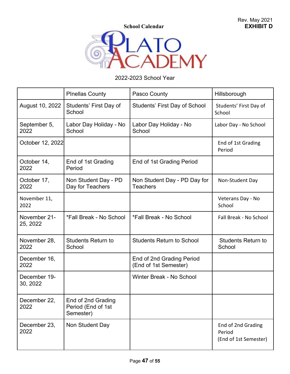**School Calendar** 



## 2022-2023 School Year

|                          | <b>PInellas County</b>                                | Pasco County                                       | Hillsborough                                          |
|--------------------------|-------------------------------------------------------|----------------------------------------------------|-------------------------------------------------------|
| August 10, 2022          | Students' First Day of<br>School                      | Students' First Day of School                      | Students' First Day of<br>School                      |
| September 5,<br>2022     | Labor Day Holiday - No<br>School                      | Labor Day Holiday - No<br>School                   | Labor Day - No School                                 |
| October 12, 2022         |                                                       |                                                    | End of 1st Grading<br>Period                          |
| October 14,<br>2022      | End of 1st Grading<br>Period                          | End of 1st Grading Period                          |                                                       |
| October 17,<br>2022      | Non Student Day - PD<br>Day for Teachers              | Non Student Day - PD Day for<br><b>Teachers</b>    | Non-Student Day                                       |
| November 11,<br>2022     |                                                       |                                                    | Veterans Day - No<br>School                           |
| November 21-<br>25, 2022 | *Fall Break - No School                               | *Fall Break - No School                            | Fall Break - No School                                |
| November 28,<br>2022     | <b>Students Return to</b><br>School                   | <b>Students Return to School</b>                   | <b>Students Return to</b><br>School                   |
| December 16,<br>2022     |                                                       | End of 2nd Grading Period<br>(End of 1st Semester) |                                                       |
| December 19-<br>30, 2022 |                                                       | Winter Break - No School                           |                                                       |
| December 22,<br>2022     | End of 2nd Grading<br>Period (End of 1st<br>Semester) |                                                    |                                                       |
| December 23,<br>2022     | Non Student Day                                       |                                                    | End of 2nd Grading<br>Period<br>(End of 1st Semester) |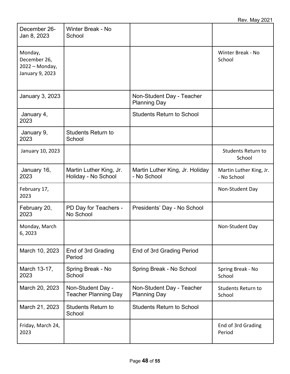| December 26-<br>Jan 8, 2023                                  | Winter Break - No<br>School                      |                                                  |                                        |
|--------------------------------------------------------------|--------------------------------------------------|--------------------------------------------------|----------------------------------------|
| Monday,<br>December 26,<br>2022 - Monday,<br>January 9, 2023 |                                                  |                                                  | Winter Break - No<br>School            |
| January 3, 2023                                              |                                                  | Non-Student Day - Teacher<br><b>Planning Day</b> |                                        |
| January 4,<br>2023                                           |                                                  | <b>Students Return to School</b>                 |                                        |
| January 9,<br>2023                                           | <b>Students Return to</b><br>School              |                                                  |                                        |
| January 10, 2023                                             |                                                  |                                                  | <b>Students Return to</b><br>School    |
| January 16,<br>2023                                          | Martin Luther King, Jr.<br>Holiday - No School   | Martin Luther King, Jr. Holiday<br>- No School   | Martin Luther King, Jr.<br>- No School |
|                                                              |                                                  |                                                  |                                        |
| February 17,<br>2023                                         |                                                  |                                                  | Non-Student Day                        |
| February 20,<br>2023                                         | PD Day for Teachers -<br>No School               | Presidents' Day - No School                      |                                        |
| Monday, March<br>6, 2023                                     |                                                  |                                                  | Non-Student Day                        |
| March 10, 2023                                               | End of 3rd Grading<br>Period                     | End of 3rd Grading Period                        |                                        |
| March 13-17,<br>2023                                         | Spring Break - No<br>School                      | Spring Break - No School                         | Spring Break - No<br>School            |
| March 20, 2023                                               | Non-Student Day -<br><b>Teacher Planning Day</b> | Non-Student Day - Teacher<br><b>Planning Day</b> | <b>Students Return to</b><br>School    |
| March 21, 2023                                               | <b>Students Return to</b><br>School              | <b>Students Return to School</b>                 |                                        |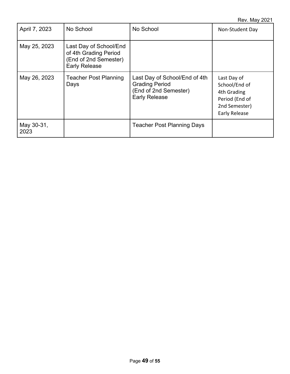| April 7, 2023      | No School                                                                                        | No School                                                                                               | Non-Student Day                                                                                        |
|--------------------|--------------------------------------------------------------------------------------------------|---------------------------------------------------------------------------------------------------------|--------------------------------------------------------------------------------------------------------|
| May 25, 2023       | Last Day of School/End<br>of 4th Grading Period<br>(End of 2nd Semester)<br><b>Early Release</b> |                                                                                                         |                                                                                                        |
| May 26, 2023       | <b>Teacher Post Planning</b><br>Days                                                             | Last Day of School/End of 4th<br><b>Grading Period</b><br>(End of 2nd Semester)<br><b>Early Release</b> | Last Day of<br>School/End of<br>4th Grading<br>Period (End of<br>2nd Semester)<br><b>Early Release</b> |
| May 30-31,<br>2023 |                                                                                                  | <b>Teacher Post Planning Days</b>                                                                       |                                                                                                        |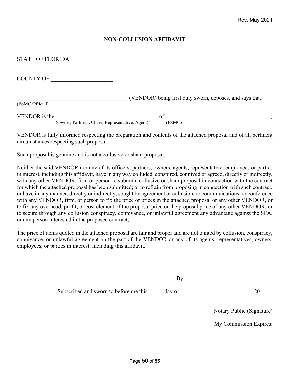#### **NON-COLLUSION AFFIDAVIT**

#### STATE OF FLORIDA

| <b>COUNTY OF</b> |                                                            |
|------------------|------------------------------------------------------------|
| (FSMC Official)  | (VENDOR) being first duly sworn, deposes, and says that:   |
|                  |                                                            |
| VENDOR is the    | of                                                         |
|                  | (Owner, Partner, Officer, Representative, Agent)<br>(FSMC) |

VENDOR is fully informed respecting the preparation and contents of the attached proposal and of all pertinent circumstances respecting such proposal;

Such proposal is genuine and is not a collusive or sham proposal;

Neither the said VENDOR nor any of its officers, partners, owners, agents, representative, employees or parties in interest, including this affidavit, have in any way colluded, conspired, connived or agreed, directly or indirectly, with any other VENDOR, firm or person to submit a collusive or sham proposal in connection with the contract for which the attached proposal has been submitted; or to refrain from proposing in connection with such contract; or have in any manner, directly or indirectly, sought by agreement or collusion, or communications, or conference with any VENDOR, firm, or person to fix the price or prices in the attached proposal or any other VENDOR, or to fix any overhead, profit, or cost element of the proposal price or the proposal price of any other VENDOR, or to secure through any collusion conspiracy, connivance, or unlawful agreement any advantage against the SFA, or any person interested in the proposed contract;

The price of items quoted in the attached proposal are fair and proper and are not tainted by collusion, conspiracy, connivance, or unlawful agreement on the part of the VENDOR or any of its agents, representatives, owners, employees, or parties in interest, including this affidavit.

| Subscribed and sworn to before me this | day of |  |
|----------------------------------------|--------|--|

Notary Public (Signature)

My Commission Expires: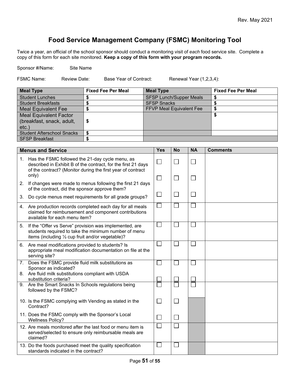## **Food Service Management Company (FSMC) Monitoring Tool**

Twice a year, an official of the school sponsor should conduct a monitoring visit of *each* food service site. Complete a copy of this form for each site monitored. **Keep a copy of this form with your program records.**

Sponsor #/Name: Site Name

FSMC Name: Review Date: Base Year of Contract: Renewal Year (1,2,3,4):

| <b>Meal Type</b>                  | <b>Fixed Fee Per Meal</b> | <b>Meal Type</b>                | <b>Fixed Fee Per Meal</b> |
|-----------------------------------|---------------------------|---------------------------------|---------------------------|
| <b>Student Lunches</b>            |                           | <b>SFSP Lunch/Supper Meals</b>  |                           |
| <b>Student Breakfasts</b>         |                           | <b>SFSP Snacks</b>              |                           |
| <b>Meal Equivalent Fee</b>        |                           | <b>FFVP Meal Equivalent Fee</b> |                           |
| <b>Meal Equivalent Factor</b>     |                           |                                 |                           |
| (breakfast, snack, adult,         |                           |                                 |                           |
| etc.                              |                           |                                 |                           |
| <b>Student Afterschool Snacks</b> |                           |                                 |                           |
| <b>SFSP Breakfast</b>             |                           |                                 |                           |

| <b>Menus and Service</b> |                                                                                                                                                                                             | <b>Yes</b>                  | <b>No</b>                | <b>NA</b>    | <b>Comments</b> |
|--------------------------|---------------------------------------------------------------------------------------------------------------------------------------------------------------------------------------------|-----------------------------|--------------------------|--------------|-----------------|
|                          | 1. Has the FSMC followed the 21-day cycle menu, as<br>described in Exhibit B of the contract, for the first 21 days<br>of the contract? (Monitor during the first year of contract<br>only) | $\Box$                      | $\Box$                   |              |                 |
| 2.                       | If changes were made to menus following the first 21 days<br>of the contract, did the sponsor approve them?                                                                                 | $\Box$                      | $\overline{\phantom{a}}$ | $\mathbf{L}$ |                 |
| 3.                       | Do cycle menus meet requirements for all grade groups?                                                                                                                                      | $\Box$                      | $\Box$                   |              |                 |
|                          | 4. Are production records completed each day for all meals<br>claimed for reimbursement and component contributions<br>available for each menu item?                                        |                             |                          |              |                 |
| 5.                       | If the "Offer vs Serve" provision was implemented, are<br>students required to take the minimum number of menu<br>items (including 1/2 cup fruit and/or vegetable)?                         |                             |                          |              |                 |
| 6.                       | Are meal modifications provided to students? Is<br>appropriate meal modification documentation on file at the<br>serving site?                                                              |                             |                          |              |                 |
|                          | 7. Does the FSMC provide fluid milk substitutions as<br>Sponsor as indicated?                                                                                                               |                             |                          |              |                 |
|                          | 8. Are fluid milk substitutions compliant with USDA<br>substitution criteria?                                                                                                               |                             |                          |              |                 |
|                          | 9. Are the Smart Snacks In Schools regulations being<br>followed by the FSMC?                                                                                                               |                             |                          |              |                 |
|                          | 10. Is the FSMC complying with Vending as stated in the<br>Contract?                                                                                                                        | $\mathcal{L}_{\mathcal{A}}$ | $\Box$                   |              |                 |
|                          | 11. Does the FSMC comply with the Sponsor's Local<br><b>Wellness Policy?</b>                                                                                                                | $\mathbf{L}$                | $\Box$                   |              |                 |
|                          | 12. Are meals monitored after the last food or menu item is<br>served/selected to ensure only reimbursable meals are<br>claimed?                                                            |                             |                          |              |                 |
|                          | 13. Do the foods purchased meet the quality specification<br>standards indicated in the contract?                                                                                           |                             |                          |              |                 |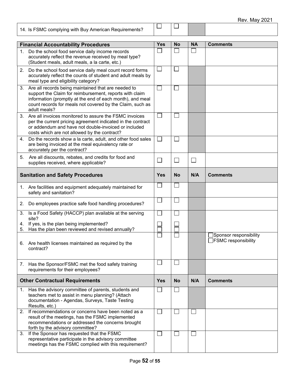| 14. Is FSMC complying with Buy American Requirements?                                                                                                      |     |           |    |                 |
|------------------------------------------------------------------------------------------------------------------------------------------------------------|-----|-----------|----|-----------------|
| <b>Financial Accountability Procedures</b>                                                                                                                 | Yes | <b>No</b> | NΑ | <b>Comments</b> |
| Do the school food service daily income records<br>accurately reflect the revenue received by meal type?<br>(Student meals, adult meals, a la carte, etc.) |     |           |    |                 |
| Do the school food service daily meal count record forms                                                                                                   |     |           |    |                 |

| 2.       | Do the school food service daily meal count record forms<br>accurately reflect the counts of student and adult meals by<br>meal type and eligibility category?                                                                                              |            |           |              |                                                |
|----------|-------------------------------------------------------------------------------------------------------------------------------------------------------------------------------------------------------------------------------------------------------------|------------|-----------|--------------|------------------------------------------------|
|          | 3. Are all records being maintained that are needed to<br>support the Claim for reimbursement, reports with claim<br>information (promptly at the end of each month), and meal<br>count records for meals not covered by the Claim, such as<br>adult meals? |            |           |              |                                                |
|          | 3. Are all invoices monitored to assure the FSMC invoices<br>per the current pricing agreement indicated in the contract<br>or addendum and have not double-invoiced or included<br>costs which are not allowed by the contract?                            |            |           |              |                                                |
| 4.       | Do the records show a la carte, adult, and other food sales<br>are being invoiced at the meal equivalency rate or<br>accurately per the contract?                                                                                                           |            |           |              |                                                |
| 5.       | Are all discounts, rebates, and credits for food and<br>supplies received, where applicable?                                                                                                                                                                |            |           | ┌            |                                                |
|          | <b>Sanitation and Safety Procedures</b>                                                                                                                                                                                                                     | <b>Yes</b> | <b>No</b> | N/A          | <b>Comments</b>                                |
|          | 1. Are facilities and equipment adequately maintained for<br>safety and sanitation?                                                                                                                                                                         |            |           |              |                                                |
| 2.       | Do employees practice safe food handling procedures?                                                                                                                                                                                                        |            |           |              |                                                |
| 3.       | Is a Food Safety (HACCP) plan available at the serving<br>site?                                                                                                                                                                                             |            |           |              |                                                |
| 4.<br>5. | If yes, is the plan being implemented?<br>Has the plan been reviewed and revised annually?                                                                                                                                                                  |            |           |              |                                                |
| 6.       | Are health licenses maintained as required by the<br>contract?                                                                                                                                                                                              |            |           |              | Sponsor responsibility]<br>FSMC responsibility |
| 7.       | Has the Sponsor/FSMC met the food safety training<br>requirements for their employees?                                                                                                                                                                      |            |           |              |                                                |
|          | <b>Other Contractual Requirements</b>                                                                                                                                                                                                                       | Yes        | <b>No</b> | N/A          | <b>Comments</b>                                |
|          | 1. Has the advisory committee of parents, students and<br>teachers met to assist in menu planning? (Attach<br>documentation - Agendas, Surveys, Taste Testing<br>Results, etc.)                                                                             |            |           |              |                                                |
| 2.       | If recommendations or concerns have been noted as a<br>result of the meetings, has the FSMC implemented<br>recommendations or addressed the concerns brought<br>forth by the advisory committee?                                                            |            |           | $\mathsf{L}$ |                                                |
| 3.       | If the Sponsor has requested that the FSMC<br>representative participate in the advisory committee<br>meetings has the FSMC complied with this requirement?                                                                                                 |            |           |              |                                                |

| □

 $\Box$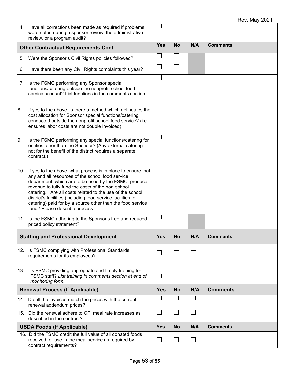|     | 4. Have all corrections been made as required if problems<br>were noted during a sponsor review, the administrative<br>review, or a program audit?                                                                                                                                                                                                                                                                                                             |              |                |                             |                 |
|-----|----------------------------------------------------------------------------------------------------------------------------------------------------------------------------------------------------------------------------------------------------------------------------------------------------------------------------------------------------------------------------------------------------------------------------------------------------------------|--------------|----------------|-----------------------------|-----------------|
|     | <b>Other Contractual Requirements Cont.</b>                                                                                                                                                                                                                                                                                                                                                                                                                    | <b>Yes</b>   | <b>No</b>      | N/A                         | <b>Comments</b> |
| 5.  | Were the Sponsor's Civil Rights policies followed?                                                                                                                                                                                                                                                                                                                                                                                                             |              |                |                             |                 |
| 6.  | Have there been any Civil Rights complaints this year?                                                                                                                                                                                                                                                                                                                                                                                                         |              |                |                             |                 |
|     | 7. Is the FSMC performing any Sponsor special<br>functions/catering outside the nonprofit school food<br>service account? List functions in the comments section.                                                                                                                                                                                                                                                                                              |              |                |                             |                 |
| 8.  | If yes to the above, is there a method which delineates the<br>cost allocation for Sponsor special functions/catering<br>conducted outside the nonprofit school food service? (i.e.<br>ensures labor costs are not double invoiced)                                                                                                                                                                                                                            |              |                |                             |                 |
| 9.  | Is the FSMC performing any special functions/catering for<br>entities other than the Sponsor? (Any external catering-<br>not for the benefit of the district requires a separate<br>contract.)                                                                                                                                                                                                                                                                 |              |                |                             |                 |
|     | 10. If yes to the above, what process is in place to ensure that<br>any and all resources of the school food service<br>department, which are to be used by the FSMC, produce<br>revenue to fully fund the costs of the non-school<br>catering. Are all costs related to the use of the school<br>district's facilities (including food service facilities for<br>catering) paid for by a source other than the food service<br>fund? Please describe process. |              |                |                             |                 |
|     | 11. Is the FSMC adhering to the Sponsor's free and reduced<br>priced policy statement?                                                                                                                                                                                                                                                                                                                                                                         |              |                |                             |                 |
|     | <b>Staffing and Professional Development</b>                                                                                                                                                                                                                                                                                                                                                                                                                   | <b>Yes</b>   | <b>No</b>      | N/A                         | <b>Comments</b> |
|     | 12. Is FSMC complying with Professional Standards<br>requirements for its employees?                                                                                                                                                                                                                                                                                                                                                                           | $\mathbf{L}$ | $\Box$         | $\Box$                      |                 |
| 13. | Is FSMC providing appropriate and timely training for<br>FSMC staff? List training in comments section at end of<br>monitoring form.                                                                                                                                                                                                                                                                                                                           | $\Box$       | $\Box$         | $\mathcal{L}_{\mathcal{A}}$ |                 |
|     | <b>Renewal Process (If Applicable)</b>                                                                                                                                                                                                                                                                                                                                                                                                                         | <b>Yes</b>   | <b>No</b>      | N/A                         | <b>Comments</b> |
|     | 14. Do all the invoices match the prices with the current<br>renewal addendum prices?                                                                                                                                                                                                                                                                                                                                                                          |              |                |                             |                 |
|     | 15. Did the renewal adhere to CPI meal rate increases as<br>described in the contract?                                                                                                                                                                                                                                                                                                                                                                         |              |                |                             |                 |
|     | <b>USDA Foods (If Applicable)</b>                                                                                                                                                                                                                                                                                                                                                                                                                              | <b>Yes</b>   | <b>No</b>      | N/A                         | <b>Comments</b> |
|     | 16. Did the FSMC credit the full value of all donated foods<br>received for use in the meal service as required by<br>contract requirements?                                                                                                                                                                                                                                                                                                                   | $\Box$       | $\mathbb{R}^n$ | $\Box$                      |                 |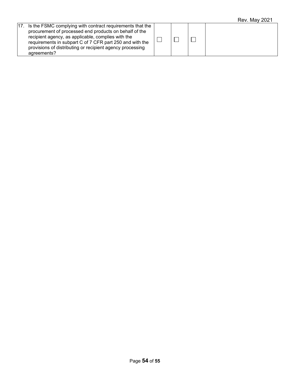|                                                                                                                                                                                                                                                                                                                       |  | . |
|-----------------------------------------------------------------------------------------------------------------------------------------------------------------------------------------------------------------------------------------------------------------------------------------------------------------------|--|---|
| 17. Is the FSMC complying with contract requirements that the<br>procurement of processed end products on behalf of the<br>recipient agency, as applicable, complies with the<br>requirements in subpart C of 7 CFR part 250 and with the<br>provisions of distributing or recipient agency processing<br>agreements? |  |   |
|                                                                                                                                                                                                                                                                                                                       |  |   |